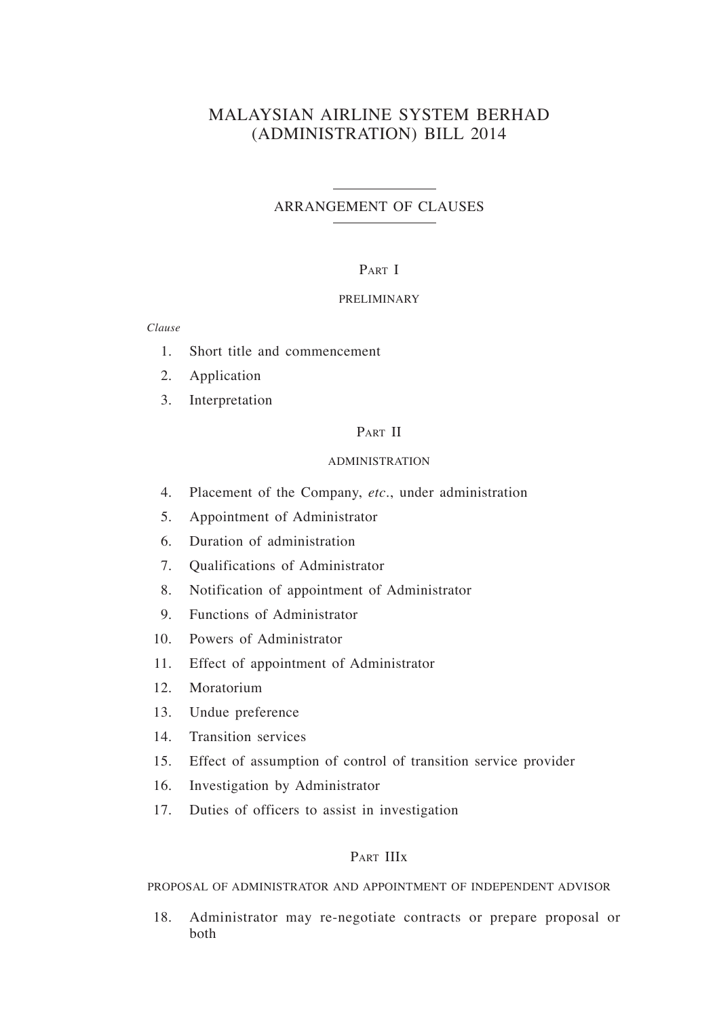## MALAYSIAN AIRLINE SYSTEM BERHAD (ADMINISTRATION) BILL 2014

#### ARRANGEMENT OF CLAUSES

#### PART I

#### PRELIMINARY

*Clause*

- 1. Short title and commencement
- 2. Application
- 3. Interpretation

#### PART II

#### ADMINISTRATION

- 4. Placement of the Company, *etc*., under administration
- 5. Appointment of Administrator
- 6. Duration of administration
- 7. Qualifications of Administrator
- 8. Notification of appointment of Administrator
- 9. Functions of Administrator
- 10. Powers of Administrator
- 11. Effect of appointment of Administrator
- 12. Moratorium
- 13. Undue preference
- 14. Transition services
- 15. Effect of assumption of control of transition service provider
- 16. Investigation by Administrator
- 17. Duties of officers to assist in investigation

#### Part IIIx

PROPOSAL OF ADMINISTRATOR AND APPOINTMENT OF INDEPENDENT ADVISOR

18. Administrator may re-negotiate contracts or prepare proposal or both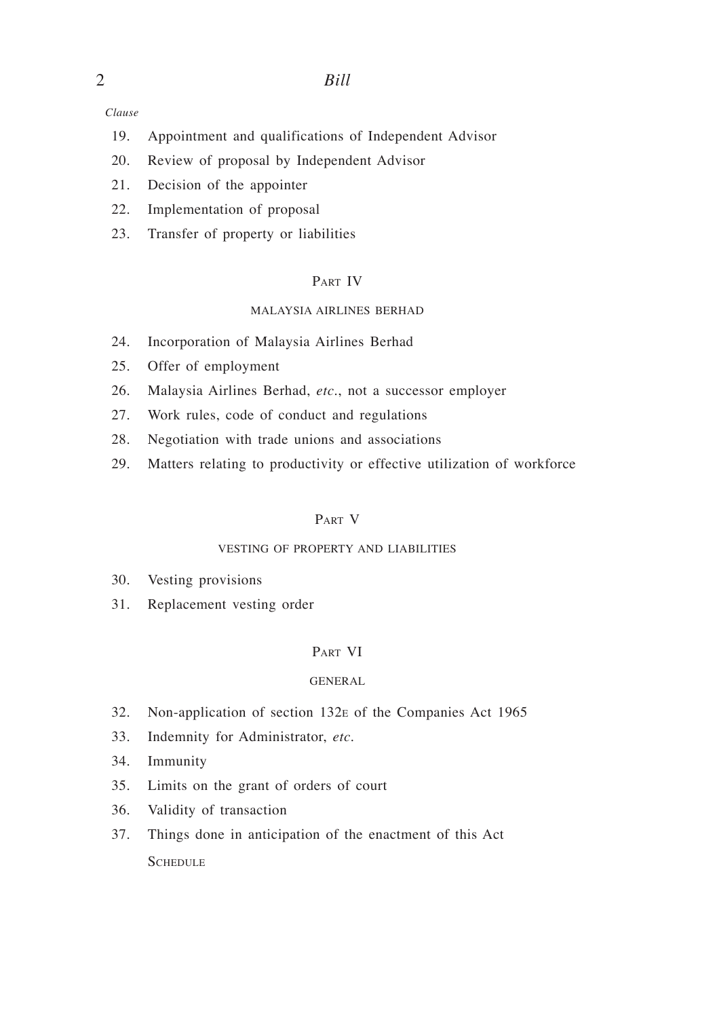*Clause*

- 19. Appointment and qualifications of Independent Advisor
- 20. Review of proposal by Independent Advisor
- 21. Decision of the appointer
- 22. Implementation of proposal
- 23. Transfer of property or liabilities

## Part IV

#### MALAYSIA AIRLINES BERHAD

- 24. Incorporation of Malaysia Airlines Berhad
- 25. Offer of employment
- 26. Malaysia Airlines Berhad, *etc*., not a successor employer
- 27. Work rules, code of conduct and regulations
- 28. Negotiation with trade unions and associations
- 29. Matters relating to productivity or effective utilization of workforce

#### Part V

#### VESTING OF PROPERTY AND LIABILITIES

- 30. Vesting provisions
- 31. Replacement vesting order

#### Part VI

#### GENERAL

- 32. Non-application of section 132e of the Companies Act 1965
- 33. Indemnity for Administrator, *etc*.
- 34. Immunity
- 35. Limits on the grant of orders of court
- 36. Validity of transaction
- 37. Things done in anticipation of the enactment of this Act **SCHEDULE**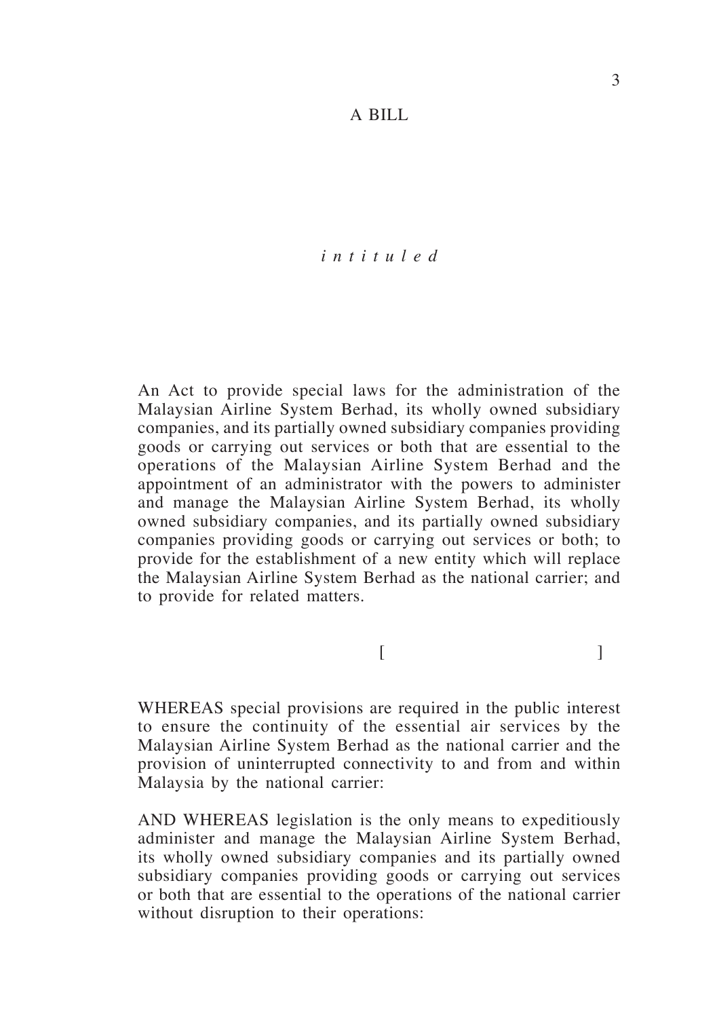### *i n t i t u l e d*

An Act to provide special laws for the administration of the Malaysian Airline System Berhad, its wholly owned subsidiary companies, and its partially owned subsidiary companies providing goods or carrying out services or both that are essential to the operations of the Malaysian Airline System Berhad and the appointment of an administrator with the powers to administer and manage the Malaysian Airline System Berhad, its wholly owned subsidiary companies, and its partially owned subsidiary companies providing goods or carrying out services or both; to provide for the establishment of a new entity which will replace the Malaysian Airline System Berhad as the national carrier; and to provide for related matters.

 $[$ 

WHEREAS special provisions are required in the public interest to ensure the continuity of the essential air services by the Malaysian Airline System Berhad as the national carrier and the provision of uninterrupted connectivity to and from and within Malaysia by the national carrier:

AND WHEREAS legislation is the only means to expeditiously administer and manage the Malaysian Airline System Berhad, its wholly owned subsidiary companies and its partially owned subsidiary companies providing goods or carrying out services or both that are essential to the operations of the national carrier without disruption to their operations: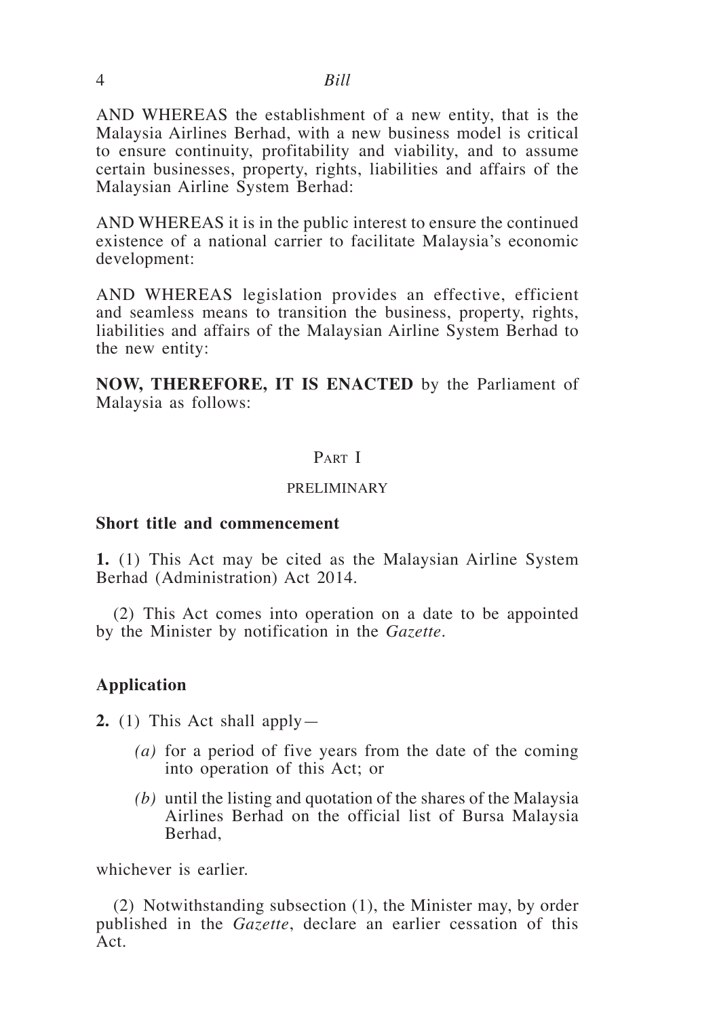AND WHEREAS the establishment of a new entity, that is the Malaysia Airlines Berhad, with a new business model is critical to ensure continuity, profitability and viability, and to assume certain businesses, property, rights, liabilities and affairs of the Malaysian Airline System Berhad:

AND WHEREAS it is in the public interest to ensure the continued existence of a national carrier to facilitate Malaysia's economic development:

AND WHEREAS legislation provides an effective, efficient and seamless means to transition the business, property, rights, liabilities and affairs of the Malaysian Airline System Berhad to the new entity:

**NOW, THEREFORE, IT IS ENACTED** by the Parliament of Malaysia as follows:

### PART I

#### PRELIMINARY

#### **Short title and commencement**

**1.** (1) This Act may be cited as the Malaysian Airline System Berhad (Administration) Act 2014.

(2) This Act comes into operation on a date to be appointed by the Minister by notification in the *Gazette*.

### **Application**

**2.** (1) This Act shall apply—

- *(a)* for a period of five years from the date of the coming into operation of this Act; or
- *(b)* until the listing and quotation of the shares of the Malaysia Airlines Berhad on the official list of Bursa Malaysia Berhad,

whichever is earlier.

(2) Notwithstanding subsection (1), the Minister may, by order published in the *Gazette*, declare an earlier cessation of this Act.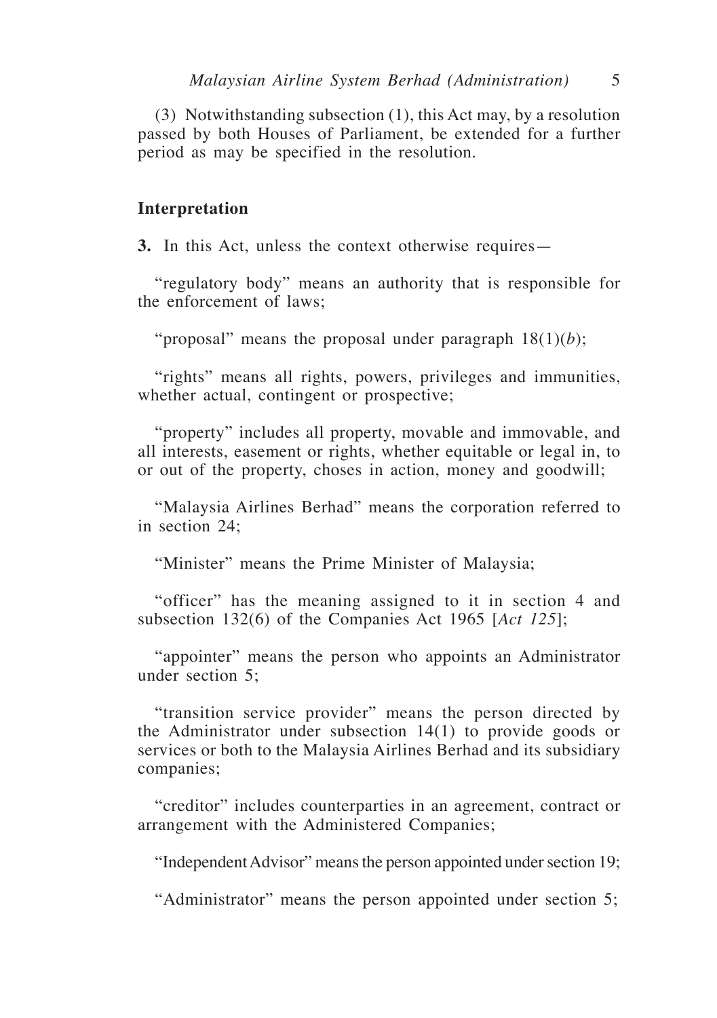(3) Notwithstanding subsection (1), this Act may, by a resolution passed by both Houses of Parliament, be extended for a further period as may be specified in the resolution.

### **Interpretation**

**3.** In this Act, unless the context otherwise requires—

"regulatory body" means an authority that is responsible for the enforcement of laws;

"proposal" means the proposal under paragraph  $18(1)(b)$ ;

"rights" means all rights, powers, privileges and immunities, whether actual, contingent or prospective;

"property" includes all property, movable and immovable, and all interests, easement or rights, whether equitable or legal in, to or out of the property, choses in action, money and goodwill;

"Malaysia Airlines Berhad" means the corporation referred to in section 24;

"Minister" means the Prime Minister of Malaysia;

"officer" has the meaning assigned to it in section 4 and subsection 132(6) of the Companies Act 1965 [*Act 125*];

"appointer" means the person who appoints an Administrator under section 5;

"transition service provider" means the person directed by the Administrator under subsection 14(1) to provide goods or services or both to the Malaysia Airlines Berhad and its subsidiary companies;

"creditor" includes counterparties in an agreement, contract or arrangement with the Administered Companies;

"Independent Advisor" means the person appointed under section 19;

"Administrator" means the person appointed under section 5;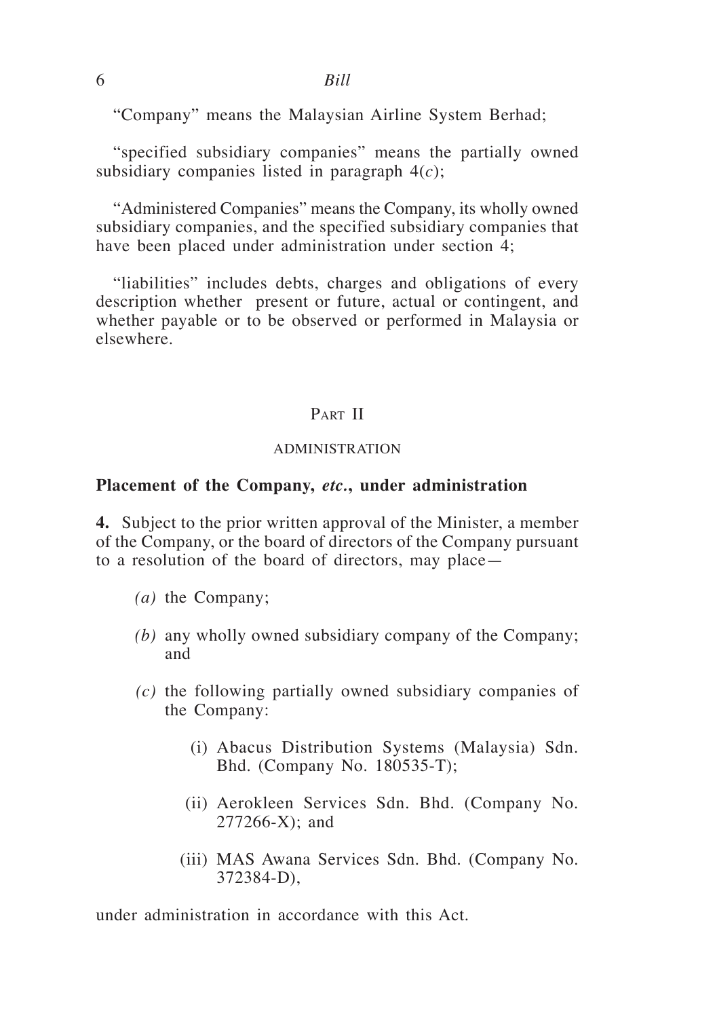"Company" means the Malaysian Airline System Berhad;

"specified subsidiary companies" means the partially owned subsidiary companies listed in paragraph 4(*c*);

"Administered Companies" means the Company, its wholly owned subsidiary companies, and the specified subsidiary companies that have been placed under administration under section 4;

"liabilities" includes debts, charges and obligations of every description whether present or future, actual or contingent, and whether payable or to be observed or performed in Malaysia or elsewhere.

### PART II

#### ADMINISTRATION

#### **Placement of the Company,** *etc.***, under administration**

**4.** Subject to the prior written approval of the Minister, a member of the Company, or the board of directors of the Company pursuant to a resolution of the board of directors, may place—

- *(a)* the Company;
- *(b)* any wholly owned subsidiary company of the Company; and
- *(c)* the following partially owned subsidiary companies of the Company:
	- (i) Abacus Distribution Systems (Malaysia) Sdn. Bhd. (Company No. 180535-T);
	- (ii) Aerokleen Services Sdn. Bhd. (Company No. 277266-X); and
	- (iii) MAS Awana Services Sdn. Bhd. (Company No. 372384-D),

under administration in accordance with this Act.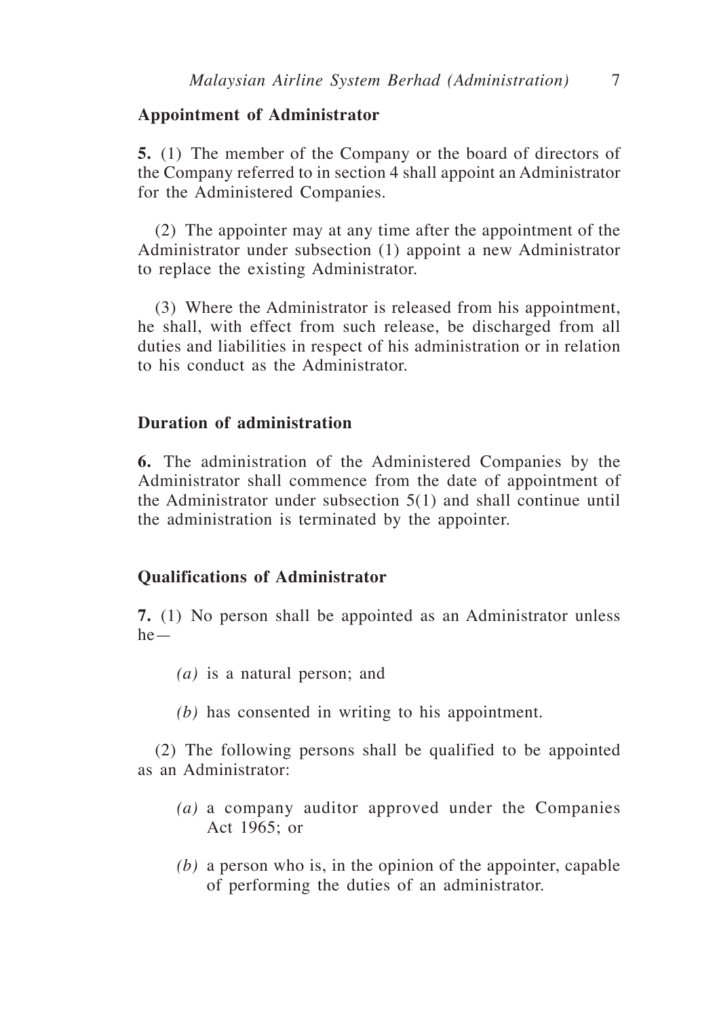### **Appointment of Administrator**

**5.** (1) The member of the Company or the board of directors of the Company referred to in section 4 shall appoint an Administrator for the Administered Companies.

(2) The appointer may at any time after the appointment of the Administrator under subsection (1) appoint a new Administrator to replace the existing Administrator.

(3) Where the Administrator is released from his appointment, he shall, with effect from such release, be discharged from all duties and liabilities in respect of his administration or in relation to his conduct as the Administrator.

### **Duration of administration**

**6.** The administration of the Administered Companies by the Administrator shall commence from the date of appointment of the Administrator under subsection 5(1) and shall continue until the administration is terminated by the appointer.

### **Qualifications of Administrator**

**7.** (1) No person shall be appointed as an Administrator unless he—

- *(a)* is a natural person; and
- *(b)* has consented in writing to his appointment.

(2) The following persons shall be qualified to be appointed as an Administrator:

- *(a)* a company auditor approved under the Companies Act 1965; or
- *(b)* a person who is, in the opinion of the appointer, capable of performing the duties of an administrator.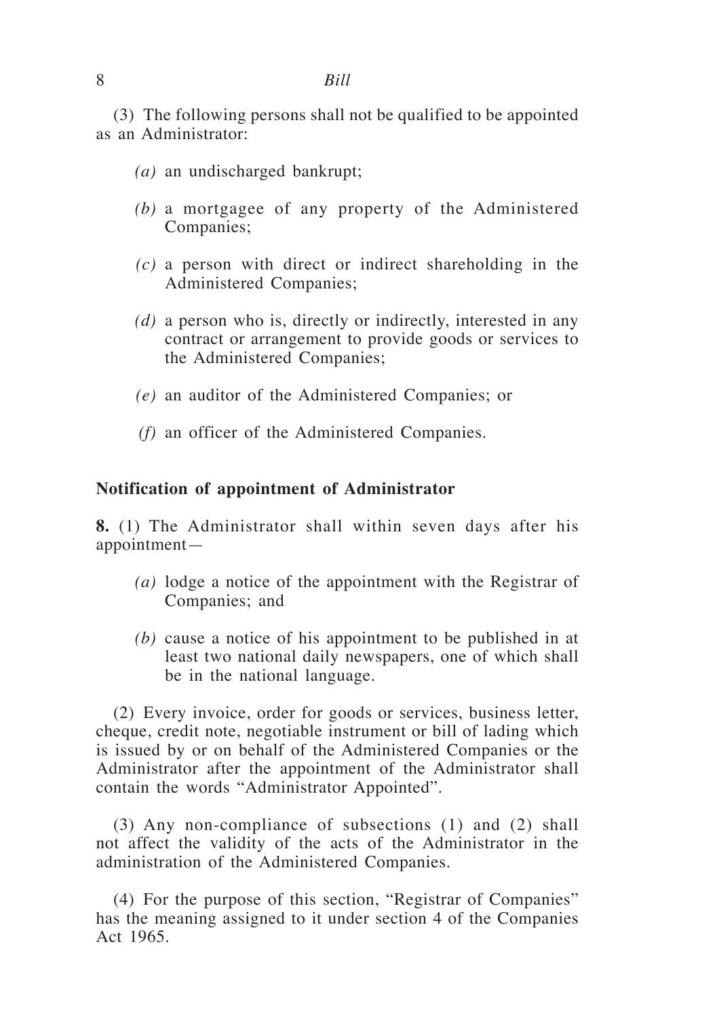(3) The following persons shall not be qualified to be appointed as an Administrator:

- *(a)* an undischarged bankrupt;
- *(b)* a mortgagee of any property of the Administered Companies;
- *(c)* a person with direct or indirect shareholding in the Administered Companies;
- *(d)* a person who is, directly or indirectly, interested in any contract or arrangement to provide goods or services to the Administered Companies;
- *(e)* an auditor of the Administered Companies; or
- *(f)* an officer of the Administered Companies.

### **Notification of appointment of Administrator**

**8.** (1) The Administrator shall within seven days after his appointment—

- *(a)* lodge a notice of the appointment with the Registrar of Companies; and
- *(b)* cause a notice of his appointment to be published in at least two national daily newspapers, one of which shall be in the national language.

(2) Every invoice, order for goods or services, business letter, cheque, credit note, negotiable instrument or bill of lading which is issued by or on behalf of the Administered Companies or the Administrator after the appointment of the Administrator shall contain the words "Administrator Appointed".

(3) Any non-compliance of subsections (1) and (2) shall not affect the validity of the acts of the Administrator in the administration of the Administered Companies.

(4) For the purpose of this section, "Registrar of Companies" has the meaning assigned to it under section 4 of the Companies Act 1965.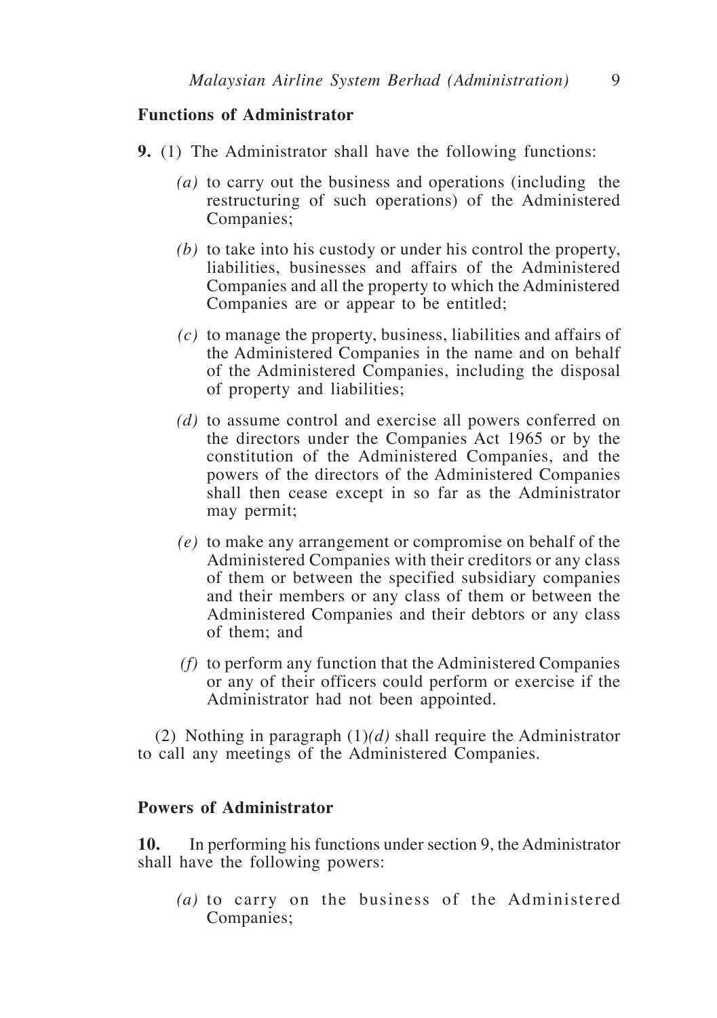## **Functions of Administrator**

- **9.** (1) The Administrator shall have the following functions:
	- *(a)* to carry out the business and operations (including the restructuring of such operations) of the Administered Companies;
	- *(b)* to take into his custody or under his control the property, liabilities, businesses and affairs of the Administered Companies and all the property to which the Administered Companies are or appear to be entitled;
	- *(c)* to manage the property, business, liabilities and affairs of the Administered Companies in the name and on behalf of the Administered Companies, including the disposal of property and liabilities;
	- *(d)* to assume control and exercise all powers conferred on the directors under the Companies Act 1965 or by the constitution of the Administered Companies, and the powers of the directors of the Administered Companies shall then cease except in so far as the Administrator may permit;
	- *(e)* to make any arrangement or compromise on behalf of the Administered Companies with their creditors or any class of them or between the specified subsidiary companies and their members or any class of them or between the Administered Companies and their debtors or any class of them; and
	- *(f)* to perform any function that the Administered Companies or any of their officers could perform or exercise if the Administrator had not been appointed.

(2) Nothing in paragraph (1)*(d)* shall require the Administrator to call any meetings of the Administered Companies.

## **Powers of Administrator**

**10.** In performing his functions under section 9, the Administrator shall have the following powers:

*(a)* to carry on the business of the Administered Companies;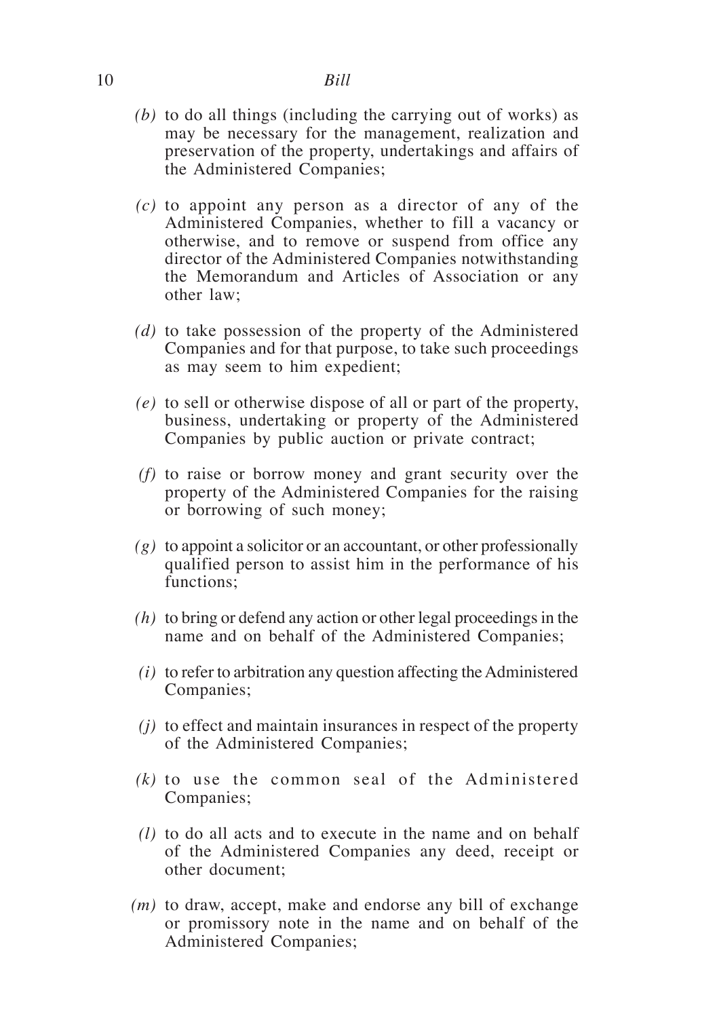- *(b)* to do all things (including the carrying out of works) as may be necessary for the management, realization and preservation of the property, undertakings and affairs of the Administered Companies;
- *(c)* to appoint any person as a director of any of the Administered Companies, whether to fill a vacancy or otherwise, and to remove or suspend from office any director of the Administered Companies notwithstanding the Memorandum and Articles of Association or any other law;
- *(d)* to take possession of the property of the Administered Companies and for that purpose, to take such proceedings as may seem to him expedient;
- *(e)* to sell or otherwise dispose of all or part of the property, business, undertaking or property of the Administered Companies by public auction or private contract;
- *(f)* to raise or borrow money and grant security over the property of the Administered Companies for the raising or borrowing of such money;
- *(g)* to appoint a solicitor or an accountant, or other professionally qualified person to assist him in the performance of his functions;
- *(h)* to bring or defend any action or other legal proceedings in the name and on behalf of the Administered Companies;
- *(i)* to refer to arbitration any question affecting the Administered Companies;
- *(j)* to effect and maintain insurances in respect of the property of the Administered Companies;
- *(k)* to use the common seal of the Administered Companies;
- *(l)* to do all acts and to execute in the name and on behalf of the Administered Companies any deed, receipt or other document;
- *(m)* to draw, accept, make and endorse any bill of exchange or promissory note in the name and on behalf of the Administered Companies;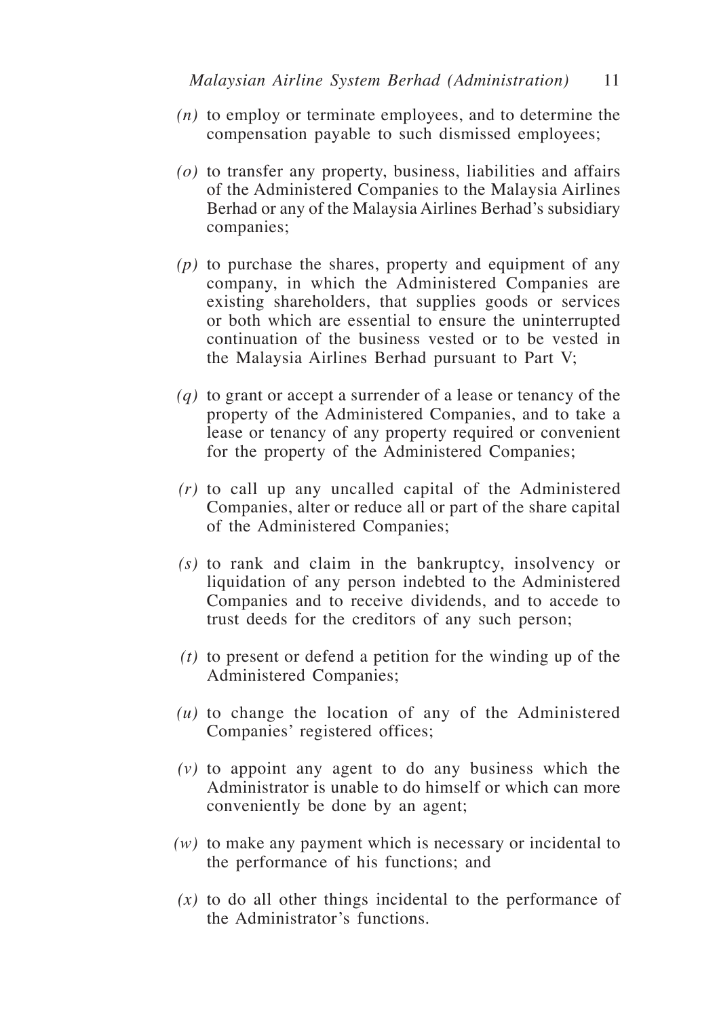- *(n)* to employ or terminate employees, and to determine the compensation payable to such dismissed employees;
- *(o)* to transfer any property, business, liabilities and affairs of the Administered Companies to the Malaysia Airlines Berhad or any of the Malaysia Airlines Berhad's subsidiary companies;
- *(p)* to purchase the shares, property and equipment of any company, in which the Administered Companies are existing shareholders, that supplies goods or services or both which are essential to ensure the uninterrupted continuation of the business vested or to be vested in the Malaysia Airlines Berhad pursuant to Part V;
- *(q)* to grant or accept a surrender of a lease or tenancy of the property of the Administered Companies, and to take a lease or tenancy of any property required or convenient for the property of the Administered Companies;
- *(r)* to call up any uncalled capital of the Administered Companies, alter or reduce all or part of the share capital of the Administered Companies;
- *(s)* to rank and claim in the bankruptcy, insolvency or liquidation of any person indebted to the Administered Companies and to receive dividends, and to accede to trust deeds for the creditors of any such person;
- *(t)* to present or defend a petition for the winding up of the Administered Companies;
- *(u)* to change the location of any of the Administered Companies' registered offices;
- *(v)* to appoint any agent to do any business which the Administrator is unable to do himself or which can more conveniently be done by an agent;
- *(w)* to make any payment which is necessary or incidental to the performance of his functions; and
- *(x)* to do all other things incidental to the performance of the Administrator's functions.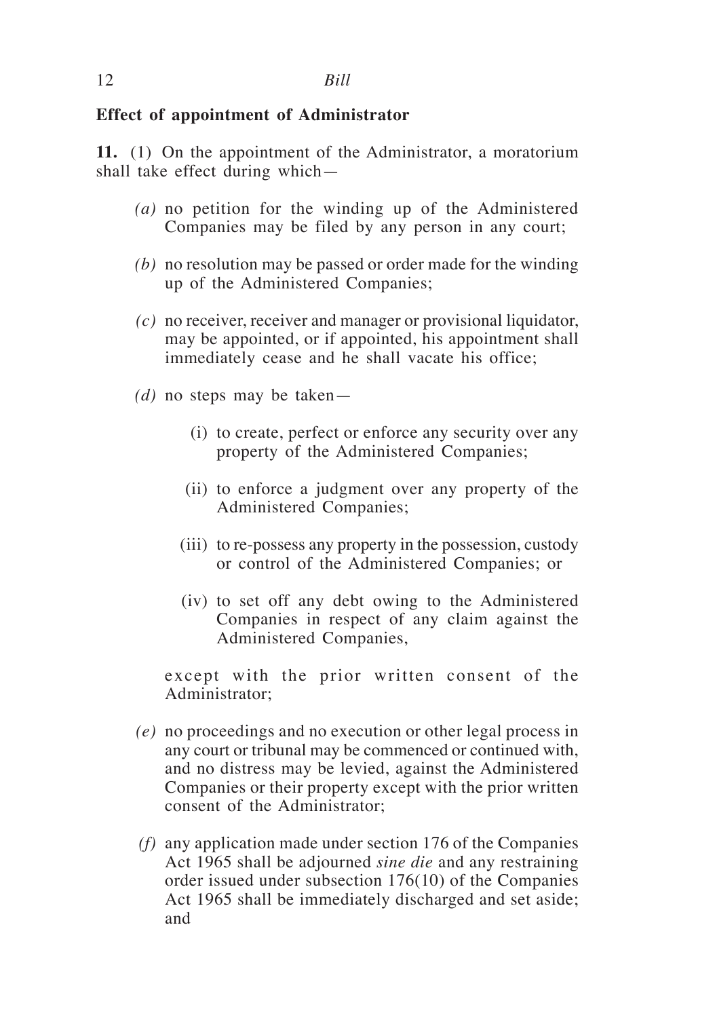### **Effect of appointment of Administrator**

**11.** (1) On the appointment of the Administrator, a moratorium shall take effect during which—

- *(a)* no petition for the winding up of the Administered Companies may be filed by any person in any court;
- *(b)* no resolution may be passed or order made for the winding up of the Administered Companies;
- *(c)* no receiver, receiver and manager or provisional liquidator, may be appointed, or if appointed, his appointment shall immediately cease and he shall vacate his office;
- *(d)* no steps may be taken—
	- (i) to create, perfect or enforce any security over any property of the Administered Companies;
	- (ii) to enforce a judgment over any property of the Administered Companies;
	- (iii) to re-possess any property in the possession, custody or control of the Administered Companies; or
	- (iv) to set off any debt owing to the Administered Companies in respect of any claim against the Administered Companies,

 except with the prior written consent of the Administrator;

- *(e)* no proceedings and no execution or other legal process in any court or tribunal may be commenced or continued with, and no distress may be levied, against the Administered Companies or their property except with the prior written consent of the Administrator;
- *(f)* any application made under section 176 of the Companies Act 1965 shall be adjourned *sine die* and any restraining order issued under subsection 176(10) of the Companies Act 1965 shall be immediately discharged and set aside; and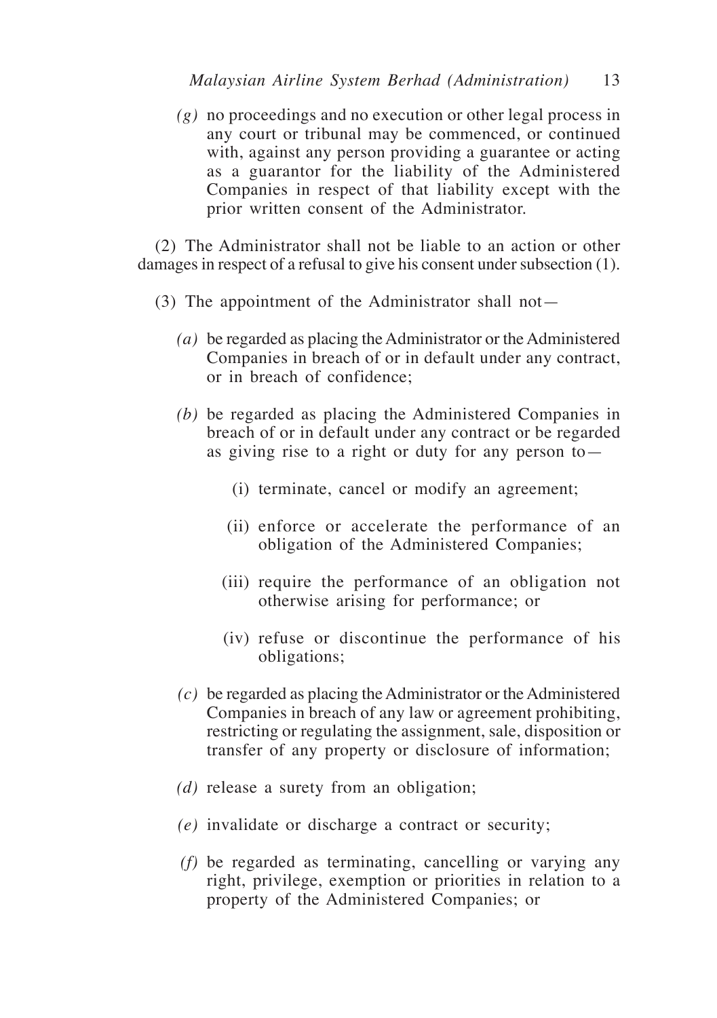*(g)* no proceedings and no execution or other legal process in any court or tribunal may be commenced, or continued with, against any person providing a guarantee or acting as a guarantor for the liability of the Administered Companies in respect of that liability except with the prior written consent of the Administrator.

(2) The Administrator shall not be liable to an action or other damages in respect of a refusal to give his consent under subsection (1).

- (3) The appointment of the Administrator shall not—
	- *(a)* be regarded as placing the Administrator or the Administered Companies in breach of or in default under any contract, or in breach of confidence;
	- *(b)* be regarded as placing the Administered Companies in breach of or in default under any contract or be regarded as giving rise to a right or duty for any person to—
		- (i) terminate, cancel or modify an agreement;
		- (ii) enforce or accelerate the performance of an obligation of the Administered Companies;
		- (iii) require the performance of an obligation not otherwise arising for performance; or
		- (iv) refuse or discontinue the performance of his obligations;
	- *(c)* be regarded as placing the Administrator or the Administered Companies in breach of any law or agreement prohibiting, restricting or regulating the assignment, sale, disposition or transfer of any property or disclosure of information;
	- *(d)* release a surety from an obligation;
	- *(e)* invalidate or discharge a contract or security;
	- *(f)* be regarded as terminating, cancelling or varying any right, privilege, exemption or priorities in relation to a property of the Administered Companies; or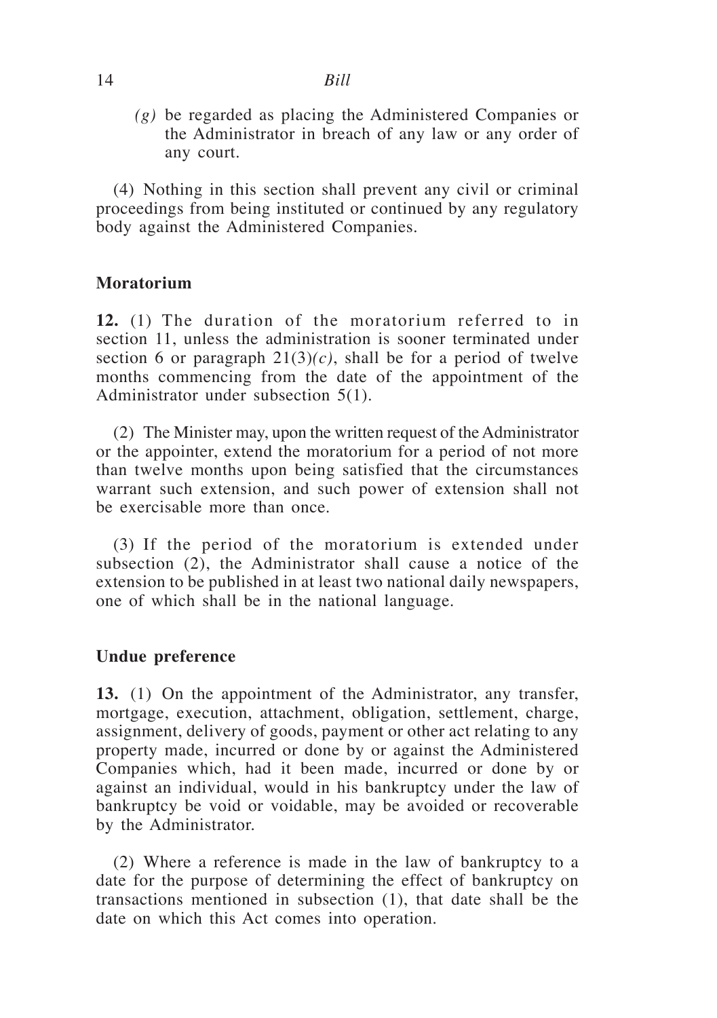*(g)* be regarded as placing the Administered Companies or the Administrator in breach of any law or any order of any court.

(4) Nothing in this section shall prevent any civil or criminal proceedings from being instituted or continued by any regulatory body against the Administered Companies.

# **Moratorium**

**12.** (1) The duration of the moratorium referred to in section 11, unless the administration is sooner terminated under section 6 or paragraph  $21(3)(c)$ , shall be for a period of twelve months commencing from the date of the appointment of the Administrator under subsection 5(1).

(2) The Minister may, upon the written request of the Administrator or the appointer, extend the moratorium for a period of not more than twelve months upon being satisfied that the circumstances warrant such extension, and such power of extension shall not be exercisable more than once.

(3) If the period of the moratorium is extended under subsection (2), the Administrator shall cause a notice of the extension to be published in at least two national daily newspapers, one of which shall be in the national language.

# **Undue preference**

**13.** (1) On the appointment of the Administrator, any transfer, mortgage, execution, attachment, obligation, settlement, charge, assignment, delivery of goods, payment or other act relating to any property made, incurred or done by or against the Administered Companies which, had it been made, incurred or done by or against an individual, would in his bankruptcy under the law of bankruptcy be void or voidable, may be avoided or recoverable by the Administrator.

(2) Where a reference is made in the law of bankruptcy to a date for the purpose of determining the effect of bankruptcy on transactions mentioned in subsection (1), that date shall be the date on which this Act comes into operation.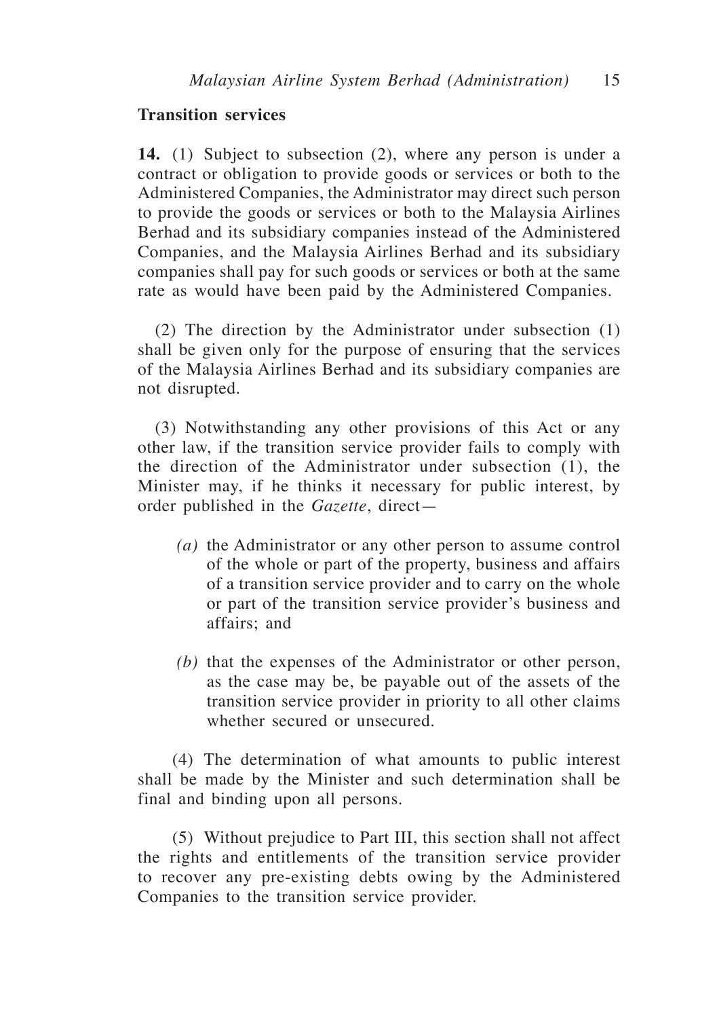### **Transition services**

**14.** (1) Subject to subsection (2), where any person is under a contract or obligation to provide goods or services or both to the Administered Companies, the Administrator may direct such person to provide the goods or services or both to the Malaysia Airlines Berhad and its subsidiary companies instead of the Administered Companies, and the Malaysia Airlines Berhad and its subsidiary companies shall pay for such goods or services or both at the same rate as would have been paid by the Administered Companies.

(2) The direction by the Administrator under subsection (1) shall be given only for the purpose of ensuring that the services of the Malaysia Airlines Berhad and its subsidiary companies are not disrupted.

(3) Notwithstanding any other provisions of this Act or any other law, if the transition service provider fails to comply with the direction of the Administrator under subsection (1), the Minister may, if he thinks it necessary for public interest, by order published in the *Gazette*, direct—

- *(a)* the Administrator or any other person to assume control of the whole or part of the property, business and affairs of a transition service provider and to carry on the whole or part of the transition service provider's business and affairs; and
- *(b)* that the expenses of the Administrator or other person, as the case may be, be payable out of the assets of the transition service provider in priority to all other claims whether secured or unsecured.

(4) The determination of what amounts to public interest shall be made by the Minister and such determination shall be final and binding upon all persons.

(5) Without prejudice to Part III, this section shall not affect the rights and entitlements of the transition service provider to recover any pre-existing debts owing by the Administered Companies to the transition service provider.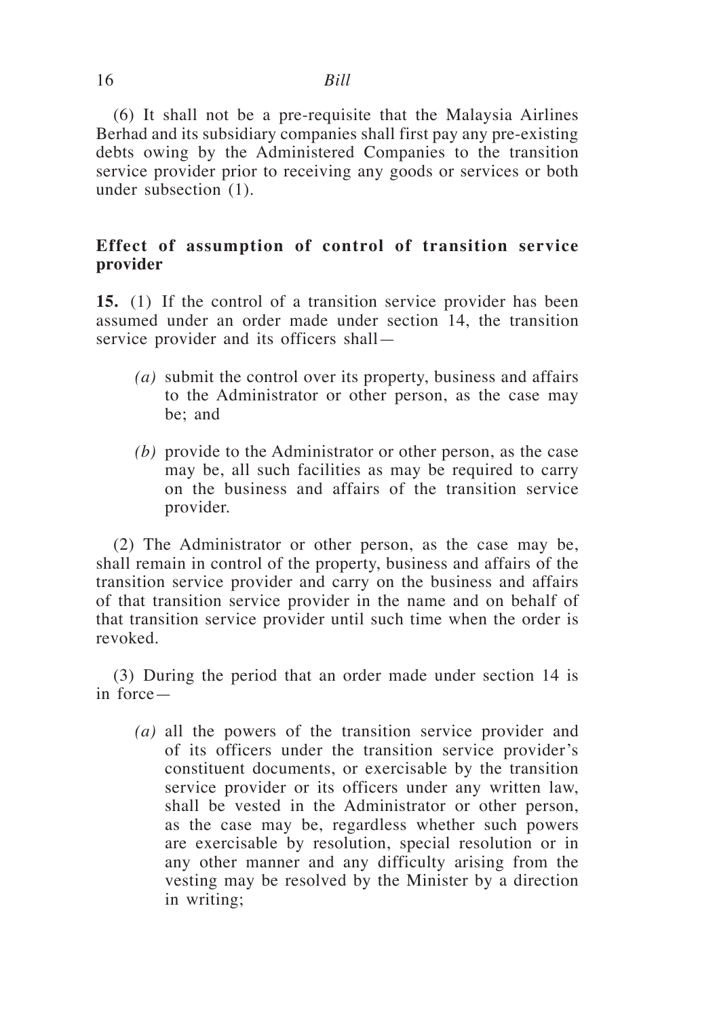(6) It shall not be a pre-requisite that the Malaysia Airlines Berhad and its subsidiary companies shall first pay any pre-existing debts owing by the Administered Companies to the transition service provider prior to receiving any goods or services or both under subsection (1).

# **Effect of assumption of control of transition service provider**

**15.** (1) If the control of a transition service provider has been assumed under an order made under section 14, the transition service provider and its officers shall—

- *(a)* submit the control over its property, business and affairs to the Administrator or other person, as the case may be; and
- *(b)* provide to the Administrator or other person, as the case may be, all such facilities as may be required to carry on the business and affairs of the transition service provider.

(2) The Administrator or other person, as the case may be, shall remain in control of the property, business and affairs of the transition service provider and carry on the business and affairs of that transition service provider in the name and on behalf of that transition service provider until such time when the order is revoked.

(3) During the period that an order made under section 14 is in force—

*(a)* all the powers of the transition service provider and of its officers under the transition service provider's constituent documents, or exercisable by the transition service provider or its officers under any written law, shall be vested in the Administrator or other person, as the case may be, regardless whether such powers are exercisable by resolution, special resolution or in any other manner and any difficulty arising from the vesting may be resolved by the Minister by a direction in writing;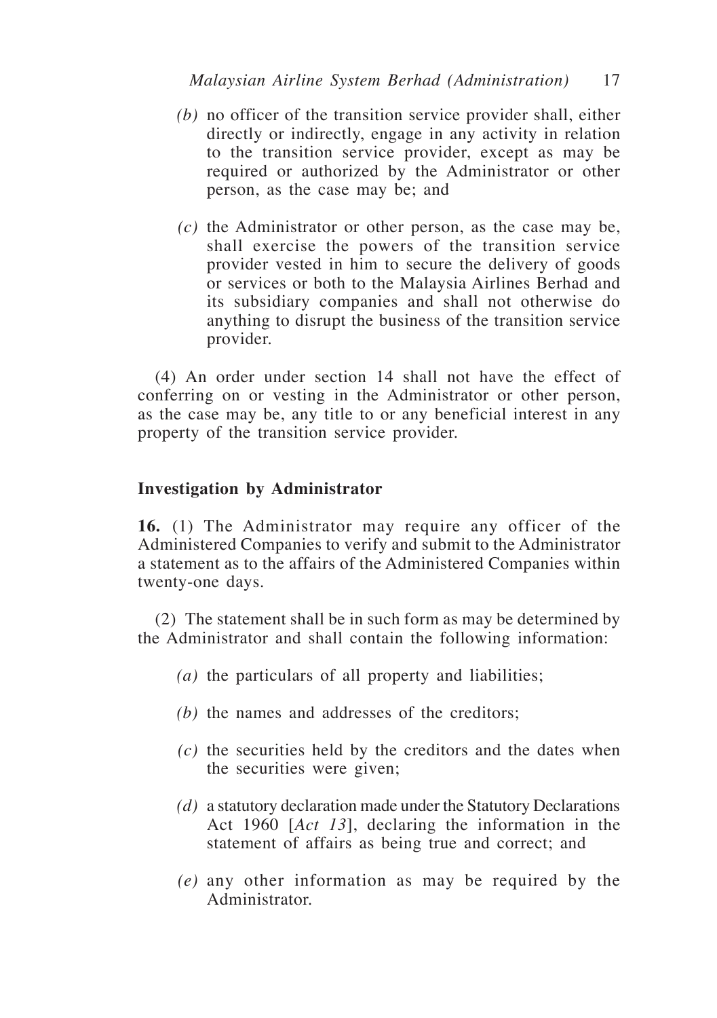- *(b)* no officer of the transition service provider shall, either directly or indirectly, engage in any activity in relation to the transition service provider, except as may be required or authorized by the Administrator or other person, as the case may be; and
- *(c)* the Administrator or other person, as the case may be, shall exercise the powers of the transition service provider vested in him to secure the delivery of goods or services or both to the Malaysia Airlines Berhad and its subsidiary companies and shall not otherwise do anything to disrupt the business of the transition service provider.

(4) An order under section 14 shall not have the effect of conferring on or vesting in the Administrator or other person, as the case may be, any title to or any beneficial interest in any property of the transition service provider.

### **Investigation by Administrator**

**16.** (1) The Administrator may require any officer of the Administered Companies to verify and submit to the Administrator a statement as to the affairs of the Administered Companies within twenty-one days.

(2) The statement shall be in such form as may be determined by the Administrator and shall contain the following information:

- *(a)* the particulars of all property and liabilities;
- *(b)* the names and addresses of the creditors;
- *(c)* the securities held by the creditors and the dates when the securities were given;
- *(d)* a statutory declaration made under the Statutory Declarations Act 1960 [*Act 13*], declaring the information in the statement of affairs as being true and correct; and
- *(e)* any other information as may be required by the Administrator.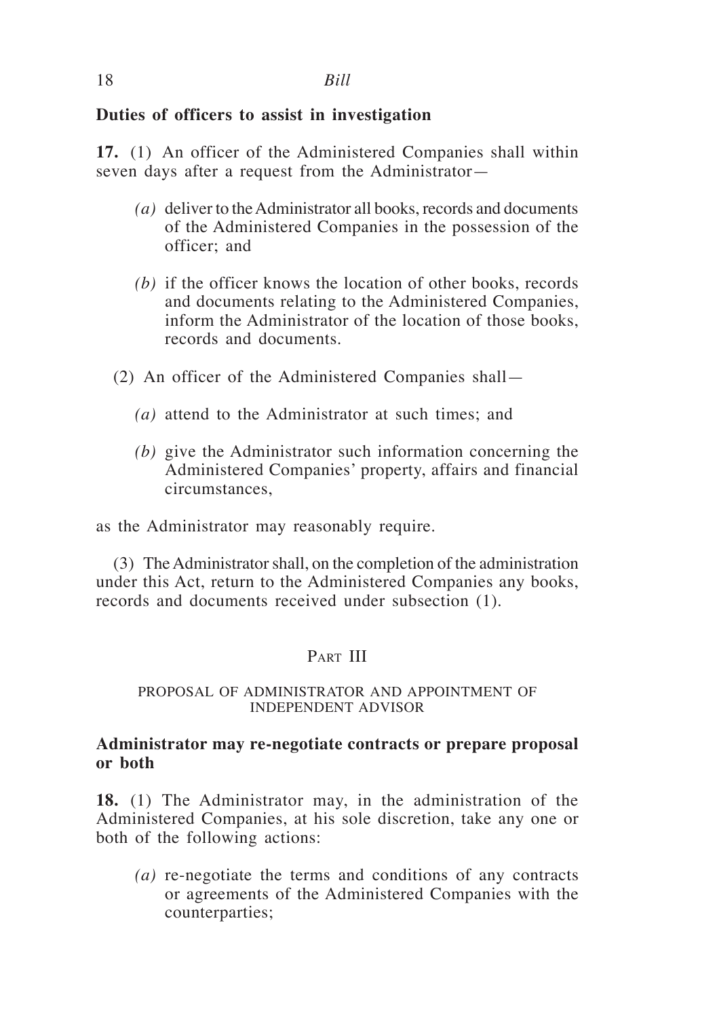# **Duties of officers to assist in investigation**

**17.** (1) An officer of the Administered Companies shall within seven days after a request from the Administrator—

- *(a)* deliver to the Administrator all books, records and documents of the Administered Companies in the possession of the officer; and
- *(b)* if the officer knows the location of other books, records and documents relating to the Administered Companies, inform the Administrator of the location of those books, records and documents.
- (2) An officer of the Administered Companies shall—
	- *(a)* attend to the Administrator at such times; and
	- *(b)* give the Administrator such information concerning the Administered Companies' property, affairs and financial circumstances,

as the Administrator may reasonably require.

(3) The Administrator shall, on the completion of the administration under this Act, return to the Administered Companies any books, records and documents received under subsection (1).

# PART III

### PROPOSAL OF ADMINISTRATOR AND APPOINTMENT OF INDEPENDENT ADVISOR

## **Administrator may re-negotiate contracts or prepare proposal or both**

**18.** (1) The Administrator may, in the administration of the Administered Companies, at his sole discretion, take any one or both of the following actions:

*(a)* re-negotiate the terms and conditions of any contracts or agreements of the Administered Companies with the counterparties;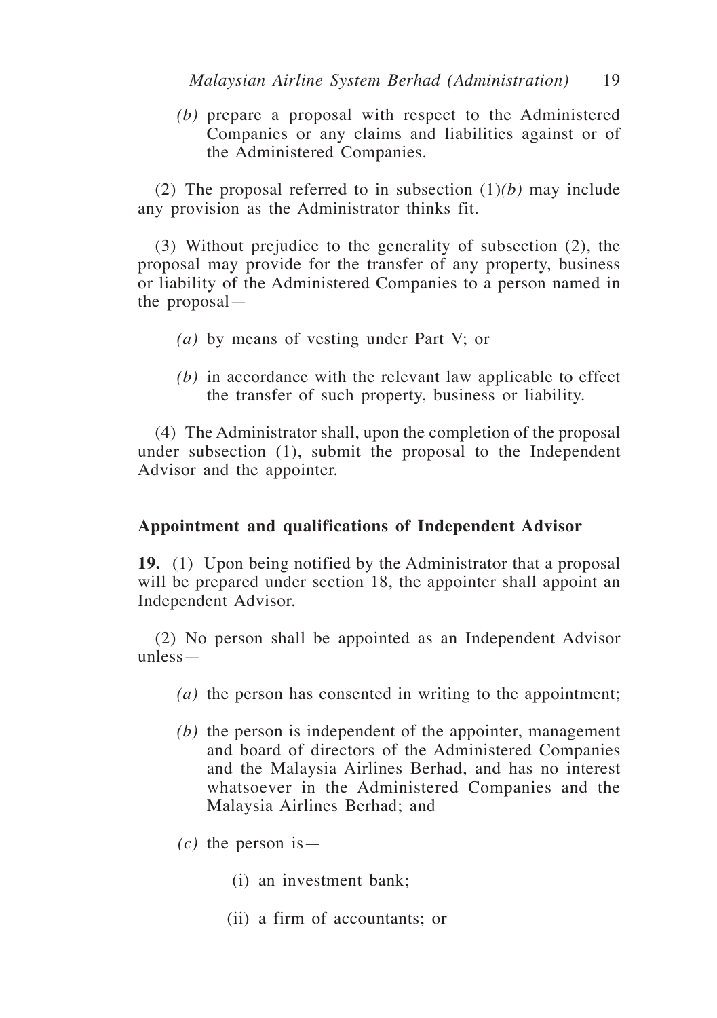*(b)* prepare a proposal with respect to the Administered Companies or any claims and liabilities against or of the Administered Companies.

(2) The proposal referred to in subsection (1)*(b)* may include any provision as the Administrator thinks fit.

(3) Without prejudice to the generality of subsection (2), the proposal may provide for the transfer of any property, business or liability of the Administered Companies to a person named in the proposal—

- *(a)* by means of vesting under Part V; or
- *(b)* in accordance with the relevant law applicable to effect the transfer of such property, business or liability.

(4) The Administrator shall, upon the completion of the proposal under subsection (1), submit the proposal to the Independent Advisor and the appointer.

### **Appointment and qualifications of Independent Advisor**

**19.** (1) Upon being notified by the Administrator that a proposal will be prepared under section 18, the appointer shall appoint an Independent Advisor.

(2) No person shall be appointed as an Independent Advisor unless—

- *(a)* the person has consented in writing to the appointment;
- *(b)* the person is independent of the appointer, management and board of directors of the Administered Companies and the Malaysia Airlines Berhad, and has no interest whatsoever in the Administered Companies and the Malaysia Airlines Berhad; and
- *(c)* the person is—
	- (i) an investment bank;
	- (ii) a firm of accountants; or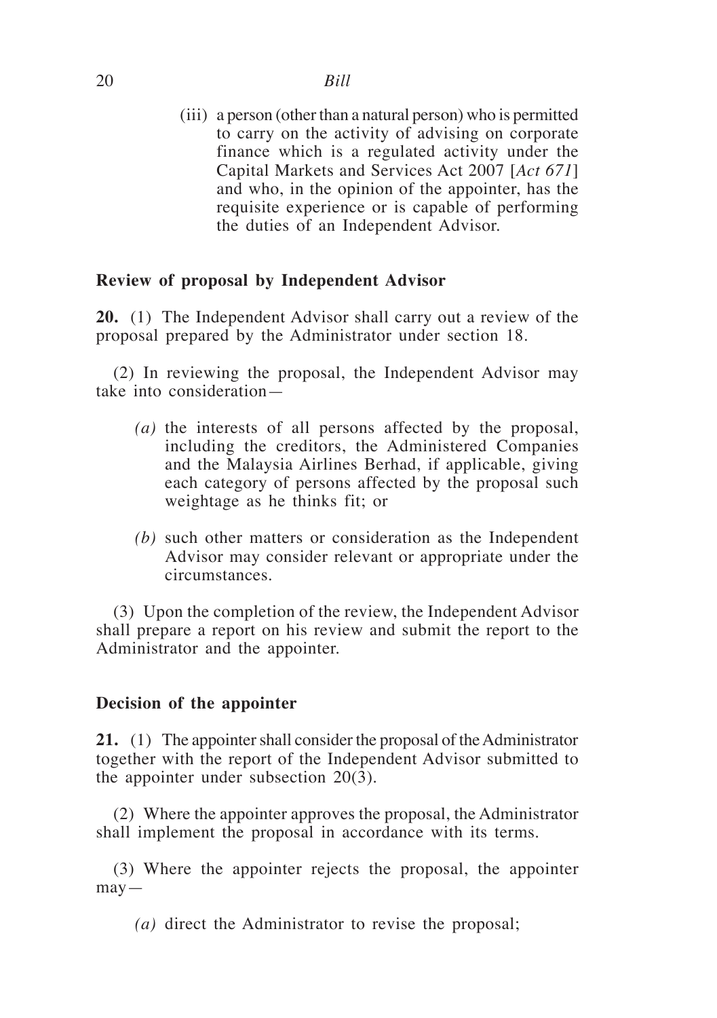(iii) a person (other than a natural person) who is permitted to carry on the activity of advising on corporate finance which is a regulated activity under the Capital Markets and Services Act 2007 [*Act 671*] and who, in the opinion of the appointer, has the requisite experience or is capable of performing the duties of an Independent Advisor.

## **Review of proposal by Independent Advisor**

**20.** (1) The Independent Advisor shall carry out a review of the proposal prepared by the Administrator under section 18.

(2) In reviewing the proposal, the Independent Advisor may take into consideration—

- *(a)* the interests of all persons affected by the proposal, including the creditors, the Administered Companies and the Malaysia Airlines Berhad, if applicable, giving each category of persons affected by the proposal such weightage as he thinks fit; or
- *(b)* such other matters or consideration as the Independent Advisor may consider relevant or appropriate under the circumstances.

(3) Upon the completion of the review, the Independent Advisor shall prepare a report on his review and submit the report to the Administrator and the appointer.

### **Decision of the appointer**

**21.** (1) The appointer shall consider the proposal of the Administrator together with the report of the Independent Advisor submitted to the appointer under subsection 20(3).

(2) Where the appointer approves the proposal, the Administrator shall implement the proposal in accordance with its terms.

(3) Where the appointer rejects the proposal, the appointer  $may -$ 

*(a)* direct the Administrator to revise the proposal;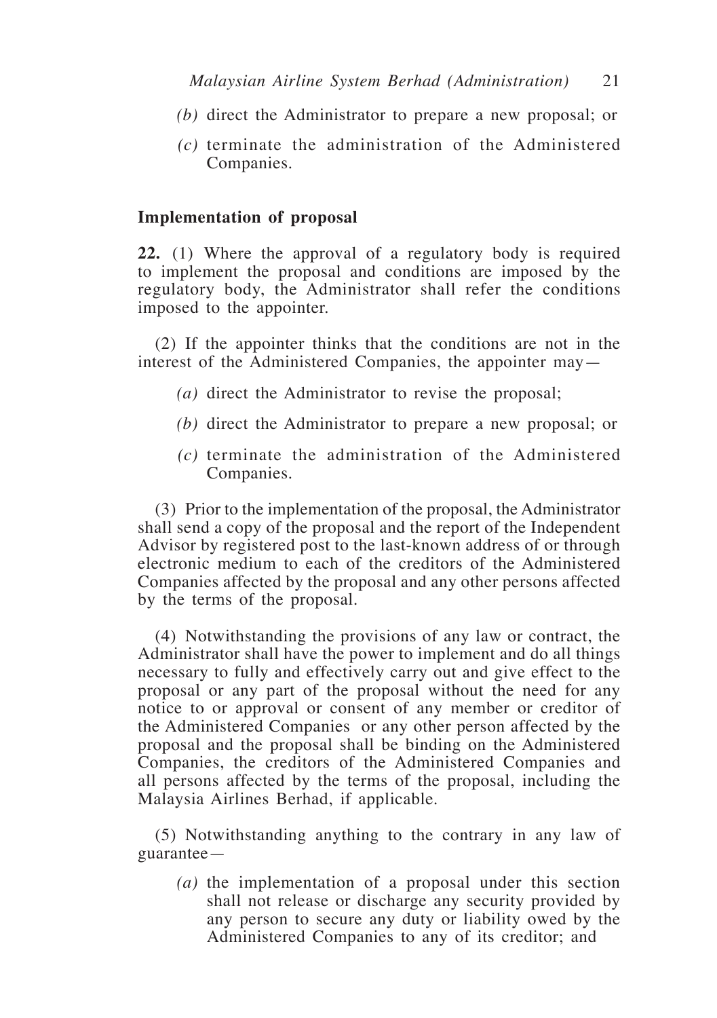- *(b)* direct the Administrator to prepare a new proposal; or
- *(c)* terminate the administration of the Administered Companies.

### **Implementation of proposal**

**22.** (1) Where the approval of a regulatory body is required to implement the proposal and conditions are imposed by the regulatory body, the Administrator shall refer the conditions imposed to the appointer.

(2) If the appointer thinks that the conditions are not in the interest of the Administered Companies, the appointer may—

- *(a)* direct the Administrator to revise the proposal;
- *(b)* direct the Administrator to prepare a new proposal; or
- *(c)* terminate the administration of the Administered Companies.

(3) Prior to the implementation of the proposal, the Administrator shall send a copy of the proposal and the report of the Independent Advisor by registered post to the last-known address of or through electronic medium to each of the creditors of the Administered Companies affected by the proposal and any other persons affected by the terms of the proposal.

(4) Notwithstanding the provisions of any law or contract, the Administrator shall have the power to implement and do all things necessary to fully and effectively carry out and give effect to the proposal or any part of the proposal without the need for any notice to or approval or consent of any member or creditor of the Administered Companies or any other person affected by the proposal and the proposal shall be binding on the Administered Companies, the creditors of the Administered Companies and all persons affected by the terms of the proposal, including the Malaysia Airlines Berhad, if applicable.

(5) Notwithstanding anything to the contrary in any law of guarantee—

*(a)* the implementation of a proposal under this section shall not release or discharge any security provided by any person to secure any duty or liability owed by the Administered Companies to any of its creditor; and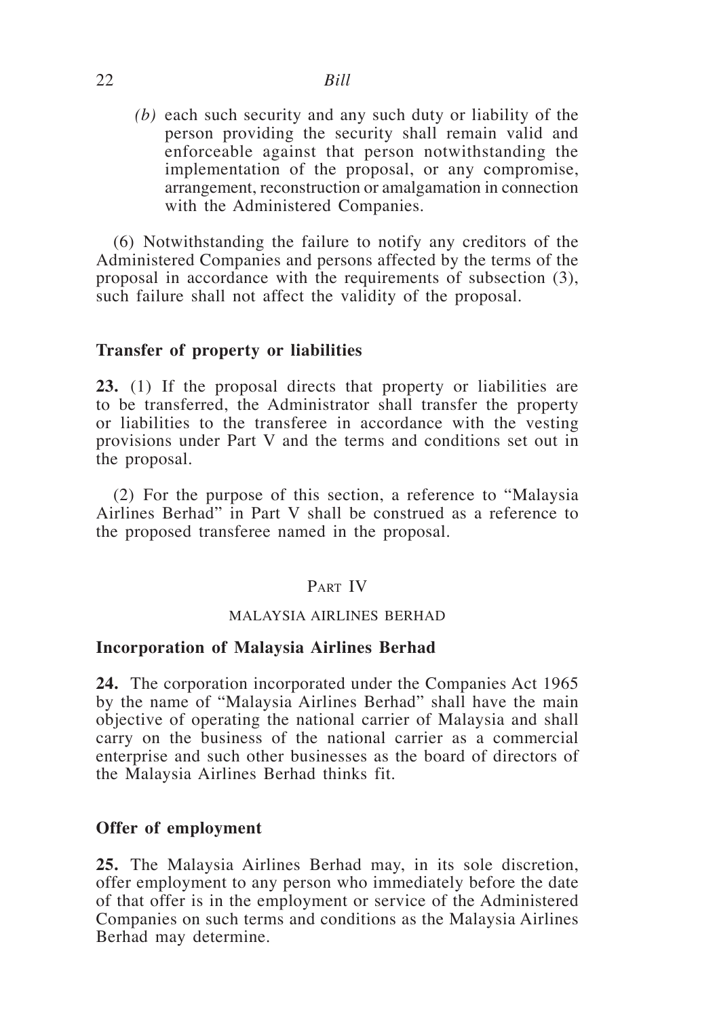# 22 *Bill*

*(b)* each such security and any such duty or liability of the person providing the security shall remain valid and enforceable against that person notwithstanding the implementation of the proposal, or any compromise, arrangement, reconstruction or amalgamation in connection with the Administered Companies.

(6) Notwithstanding the failure to notify any creditors of the Administered Companies and persons affected by the terms of the proposal in accordance with the requirements of subsection (3), such failure shall not affect the validity of the proposal.

### **Transfer of property or liabilities**

**23.** (1) If the proposal directs that property or liabilities are to be transferred, the Administrator shall transfer the property or liabilities to the transferee in accordance with the vesting provisions under Part V and the terms and conditions set out in the proposal.

(2) For the purpose of this section, a reference to "Malaysia Airlines Berhad" in Part V shall be construed as a reference to the proposed transferee named in the proposal.

### PART IV

#### MALAYSIA AIRLINES BERHAD

#### **Incorporation of Malaysia Airlines Berhad**

**24.** The corporation incorporated under the Companies Act 1965 by the name of "Malaysia Airlines Berhad" shall have the main objective of operating the national carrier of Malaysia and shall carry on the business of the national carrier as a commercial enterprise and such other businesses as the board of directors of the Malaysia Airlines Berhad thinks fit.

#### **Offer of employment**

**25.** The Malaysia Airlines Berhad may, in its sole discretion, offer employment to any person who immediately before the date of that offer is in the employment or service of the Administered Companies on such terms and conditions as the Malaysia Airlines Berhad may determine.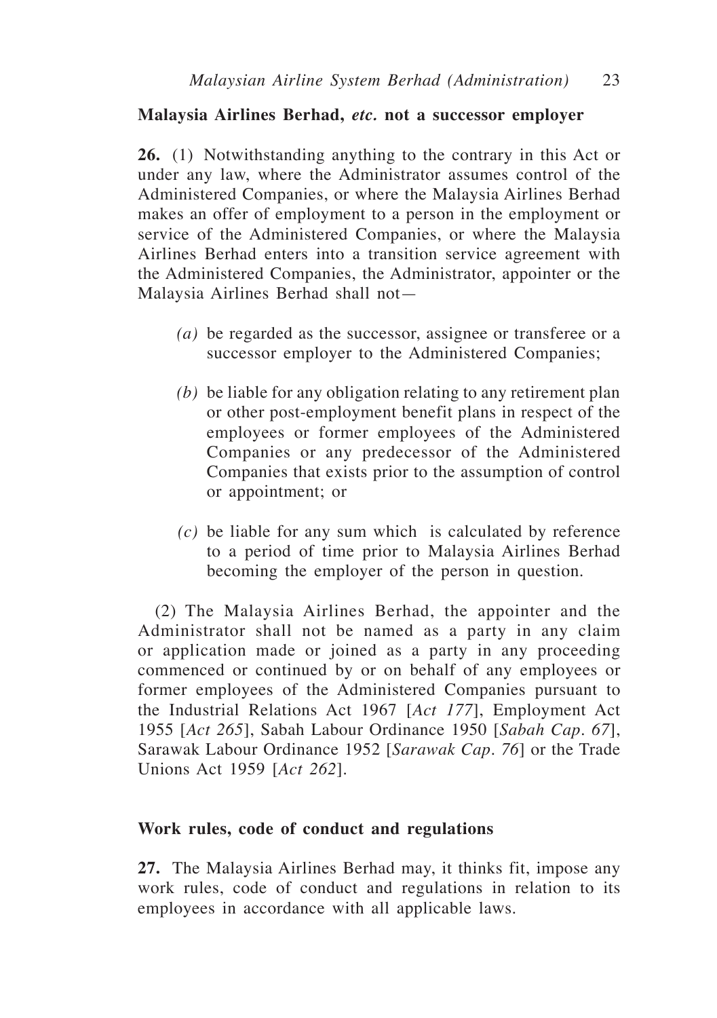### **Malaysia Airlines Berhad,** *etc.* **not a successor employer**

**26.** (1) Notwithstanding anything to the contrary in this Act or under any law, where the Administrator assumes control of the Administered Companies, or where the Malaysia Airlines Berhad makes an offer of employment to a person in the employment or service of the Administered Companies, or where the Malaysia Airlines Berhad enters into a transition service agreement with the Administered Companies, the Administrator, appointer or the Malaysia Airlines Berhad shall not—

- *(a)* be regarded as the successor, assignee or transferee or a successor employer to the Administered Companies;
- *(b)* be liable for any obligation relating to any retirement plan or other post-employment benefit plans in respect of the employees or former employees of the Administered Companies or any predecessor of the Administered Companies that exists prior to the assumption of control or appointment; or
- *(c)* be liable for any sum which is calculated by reference to a period of time prior to Malaysia Airlines Berhad becoming the employer of the person in question.

(2) The Malaysia Airlines Berhad, the appointer and the Administrator shall not be named as a party in any claim or application made or joined as a party in any proceeding commenced or continued by or on behalf of any employees or former employees of the Administered Companies pursuant to the Industrial Relations Act 1967 [*Act 177*], Employment Act 1955 [*Act 265*], Sabah Labour Ordinance 1950 [*Sabah Cap. 67*], Sarawak Labour Ordinance 1952 [*Sarawak Cap. 76*] or the Trade Unions Act 1959 [*Act 262*].

#### **Work rules, code of conduct and regulations**

**27.** The Malaysia Airlines Berhad may, it thinks fit, impose any work rules, code of conduct and regulations in relation to its employees in accordance with all applicable laws.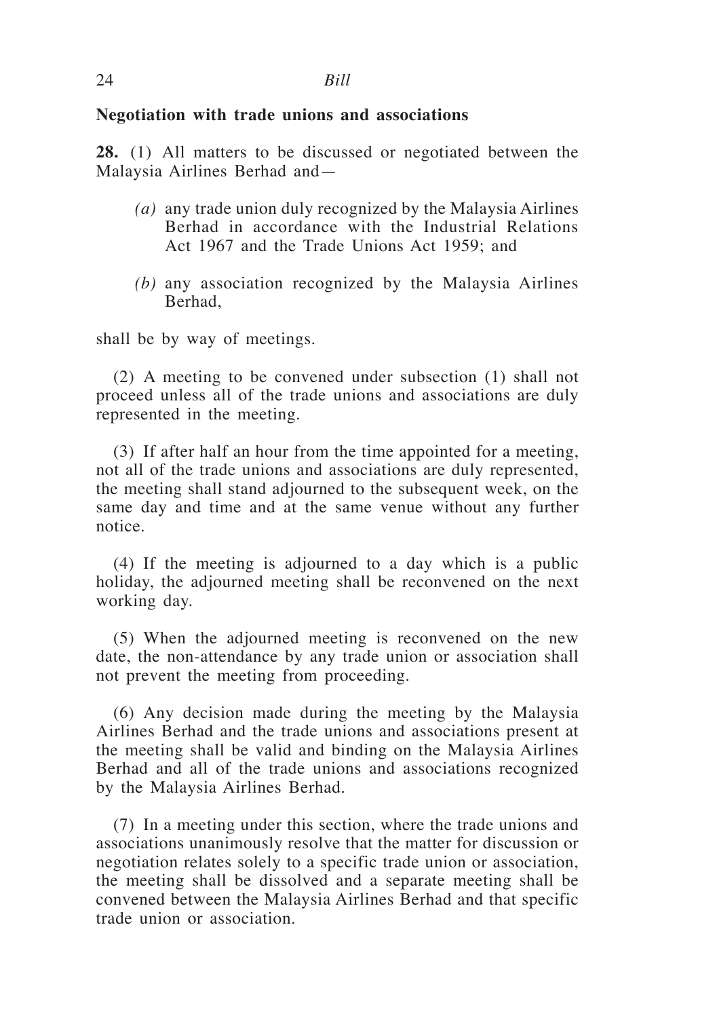### **Negotiation with trade unions and associations**

**28.** (1) All matters to be discussed or negotiated between the Malaysia Airlines Berhad and—

- *(a)* any trade union duly recognized by the Malaysia Airlines Berhad in accordance with the Industrial Relations Act 1967 and the Trade Unions Act 1959; and
- *(b)* any association recognized by the Malaysia Airlines Berhad,

shall be by way of meetings.

(2) A meeting to be convened under subsection (1) shall not proceed unless all of the trade unions and associations are duly represented in the meeting.

(3) If after half an hour from the time appointed for a meeting, not all of the trade unions and associations are duly represented, the meeting shall stand adjourned to the subsequent week, on the same day and time and at the same venue without any further notice.

(4) If the meeting is adjourned to a day which is a public holiday, the adjourned meeting shall be reconvened on the next working day.

(5) When the adjourned meeting is reconvened on the new date, the non-attendance by any trade union or association shall not prevent the meeting from proceeding.

(6) Any decision made during the meeting by the Malaysia Airlines Berhad and the trade unions and associations present at the meeting shall be valid and binding on the Malaysia Airlines Berhad and all of the trade unions and associations recognized by the Malaysia Airlines Berhad.

(7) In a meeting under this section, where the trade unions and associations unanimously resolve that the matter for discussion or negotiation relates solely to a specific trade union or association, the meeting shall be dissolved and a separate meeting shall be convened between the Malaysia Airlines Berhad and that specific trade union or association.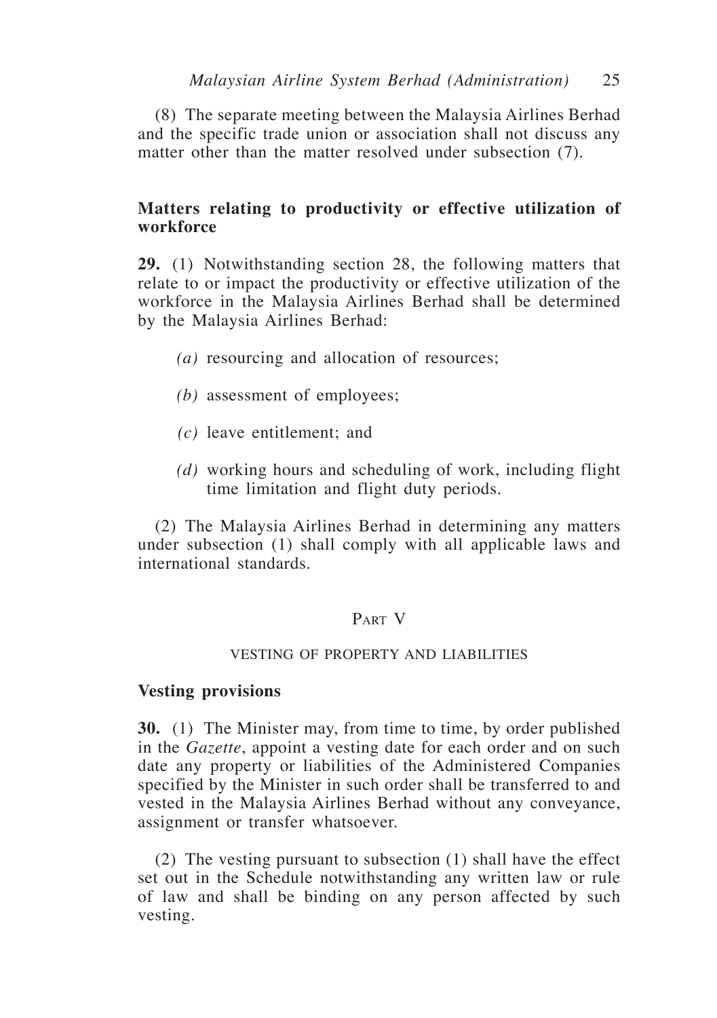(8) The separate meeting between the Malaysia Airlines Berhad and the specific trade union or association shall not discuss any matter other than the matter resolved under subsection (7).

### **Matters relating to productivity or effective utilization of workforce**

**29.** (1) Notwithstanding section 28, the following matters that relate to or impact the productivity or effective utilization of the workforce in the Malaysia Airlines Berhad shall be determined by the Malaysia Airlines Berhad:

- *(a)* resourcing and allocation of resources;
- *(b)* assessment of employees;
- *(c)* leave entitlement; and
- *(d)* working hours and scheduling of work, including flight time limitation and flight duty periods.

(2) The Malaysia Airlines Berhad in determining any matters under subsection (1) shall comply with all applicable laws and international standards.

## Part V

### VESTING OF PROPERTY AND LIABILITIES

#### **Vesting provisions**

**30.** (1) The Minister may, from time to time, by order published in the *Gazette*, appoint a vesting date for each order and on such date any property or liabilities of the Administered Companies specified by the Minister in such order shall be transferred to and vested in the Malaysia Airlines Berhad without any conveyance, assignment or transfer whatsoever.

(2) The vesting pursuant to subsection (1) shall have the effect set out in the Schedule notwithstanding any written law or rule of law and shall be binding on any person affected by such vesting.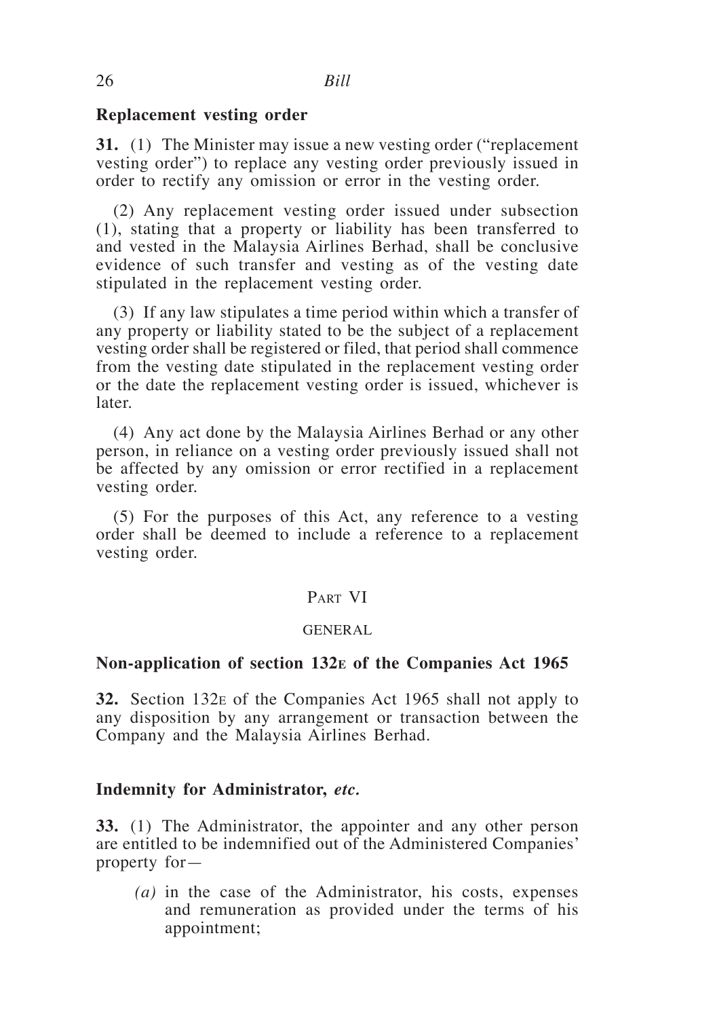### **Replacement vesting order**

**31.** (1) The Minister may issue a new vesting order ("replacement vesting order") to replace any vesting order previously issued in order to rectify any omission or error in the vesting order.

(2) Any replacement vesting order issued under subsection (1), stating that a property or liability has been transferred to and vested in the Malaysia Airlines Berhad, shall be conclusive evidence of such transfer and vesting as of the vesting date stipulated in the replacement vesting order.

(3) If any law stipulates a time period within which a transfer of any property or liability stated to be the subject of a replacement vesting order shall be registered or filed, that period shall commence from the vesting date stipulated in the replacement vesting order or the date the replacement vesting order is issued, whichever is later.

(4) Any act done by the Malaysia Airlines Berhad or any other person, in reliance on a vesting order previously issued shall not be affected by any omission or error rectified in a replacement vesting order.

(5) For the purposes of this Act, any reference to a vesting order shall be deemed to include a reference to a replacement vesting order.

### PART VI

### GENERAL

#### **Non-application of section 132e of the Companies Act 1965**

**32.** Section 132e of the Companies Act 1965 shall not apply to any disposition by any arrangement or transaction between the Company and the Malaysia Airlines Berhad.

#### **Indemnity for Administrator,** *etc.*

**33.** (1) The Administrator, the appointer and any other person are entitled to be indemnified out of the Administered Companies' property for—

*(a)* in the case of the Administrator, his costs, expenses and remuneration as provided under the terms of his appointment;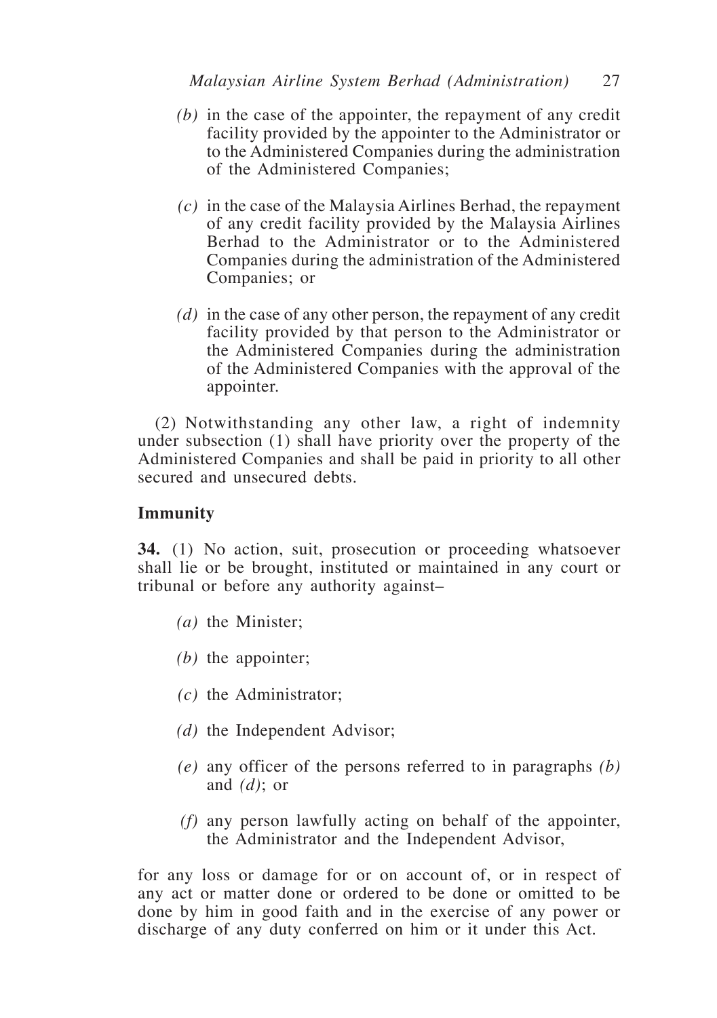- *(b)* in the case of the appointer, the repayment of any credit facility provided by the appointer to the Administrator or to the Administered Companies during the administration of the Administered Companies;
- *(c)* in the case of the Malaysia Airlines Berhad, the repayment of any credit facility provided by the Malaysia Airlines Berhad to the Administrator or to the Administered Companies during the administration of the Administered Companies; or
- *(d)* in the case of any other person, the repayment of any credit facility provided by that person to the Administrator or the Administered Companies during the administration of the Administered Companies with the approval of the appointer.

(2) Notwithstanding any other law, a right of indemnity under subsection (1) shall have priority over the property of the Administered Companies and shall be paid in priority to all other secured and unsecured debts.

## **Immunity**

**34.** (1) No action, suit, prosecution or proceeding whatsoever shall lie or be brought, instituted or maintained in any court or tribunal or before any authority against–

- *(a)* the Minister;
- *(b)* the appointer;
- *(c)* the Administrator;
- *(d)* the Independent Advisor;
- *(e)* any officer of the persons referred to in paragraphs *(b)* and *(d)*; or
- *(f)* any person lawfully acting on behalf of the appointer, the Administrator and the Independent Advisor,

for any loss or damage for or on account of, or in respect of any act or matter done or ordered to be done or omitted to be done by him in good faith and in the exercise of any power or discharge of any duty conferred on him or it under this Act.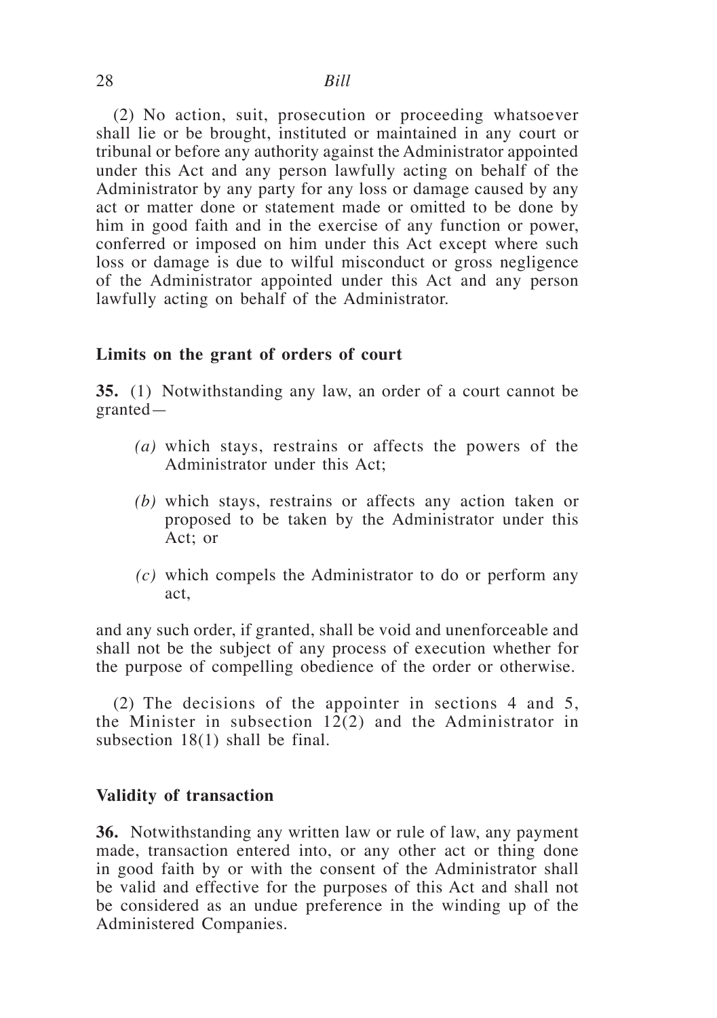(2) No action, suit, prosecution or proceeding whatsoever shall lie or be brought, instituted or maintained in any court or tribunal or before any authority against the Administrator appointed under this Act and any person lawfully acting on behalf of the Administrator by any party for any loss or damage caused by any act or matter done or statement made or omitted to be done by him in good faith and in the exercise of any function or power, conferred or imposed on him under this Act except where such loss or damage is due to wilful misconduct or gross negligence of the Administrator appointed under this Act and any person lawfully acting on behalf of the Administrator.

### **Limits on the grant of orders of court**

**35.** (1) Notwithstanding any law, an order of a court cannot be granted—

- *(a)* which stays, restrains or affects the powers of the Administrator under this Act;
- *(b)* which stays, restrains or affects any action taken or proposed to be taken by the Administrator under this Act; or
- *(c)* which compels the Administrator to do or perform any act,

and any such order, if granted, shall be void and unenforceable and shall not be the subject of any process of execution whether for the purpose of compelling obedience of the order or otherwise.

(2) The decisions of the appointer in sections 4 and 5, the Minister in subsection 12(2) and the Administrator in subsection 18(1) shall be final.

### **Validity of transaction**

**36.** Notwithstanding any written law or rule of law, any payment made, transaction entered into, or any other act or thing done in good faith by or with the consent of the Administrator shall be valid and effective for the purposes of this Act and shall not be considered as an undue preference in the winding up of the Administered Companies.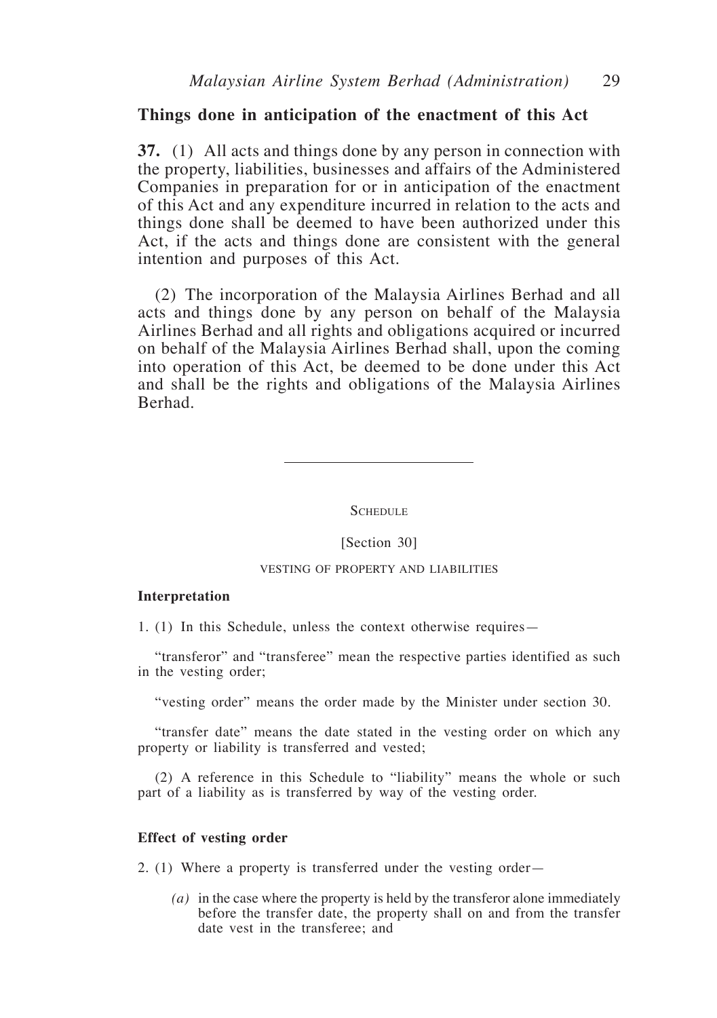#### **Things done in anticipation of the enactment of this Act**

**37.** (1) All acts and things done by any person in connection with the property, liabilities, businesses and affairs of the Administered Companies in preparation for or in anticipation of the enactment of this Act and any expenditure incurred in relation to the acts and things done shall be deemed to have been authorized under this Act, if the acts and things done are consistent with the general intention and purposes of this Act.

(2) The incorporation of the Malaysia Airlines Berhad and all acts and things done by any person on behalf of the Malaysia Airlines Berhad and all rights and obligations acquired or incurred on behalf of the Malaysia Airlines Berhad shall, upon the coming into operation of this Act, be deemed to be done under this Act and shall be the rights and obligations of the Malaysia Airlines Berhad.

**SCHEDULE** 

[Section 30]

#### VESTING OF PROPERTY AND LIABILITIES

#### **Interpretation**

1. (1) In this Schedule, unless the context otherwise requires—

"transferor" and "transferee" mean the respective parties identified as such in the vesting order;

"vesting order" means the order made by the Minister under section 30.

"transfer date" means the date stated in the vesting order on which any property or liability is transferred and vested;

(2) A reference in this Schedule to "liability" means the whole or such part of a liability as is transferred by way of the vesting order.

#### **Effect of vesting order**

2. (1) Where a property is transferred under the vesting order—

*(a)* in the case where the property is held by the transferor alone immediately before the transfer date, the property shall on and from the transfer date vest in the transferee; and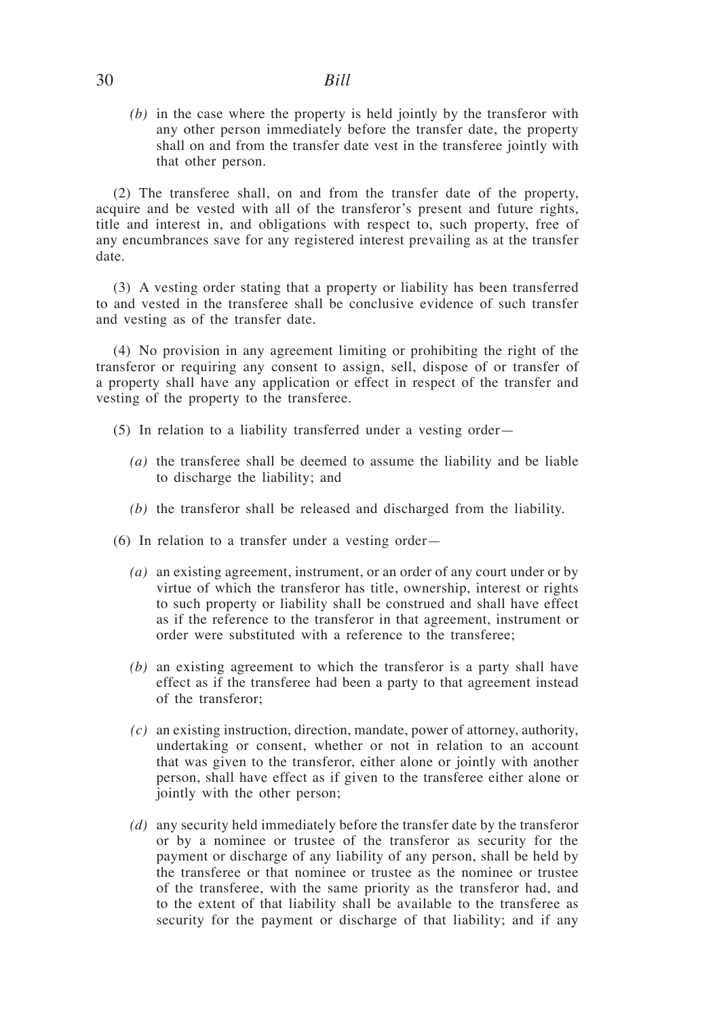## 30 *Bill*

*(b)* in the case where the property is held jointly by the transferor with any other person immediately before the transfer date, the property shall on and from the transfer date vest in the transferee jointly with that other person.

(2) The transferee shall, on and from the transfer date of the property, acquire and be vested with all of the transferor's present and future rights, title and interest in, and obligations with respect to, such property, free of any encumbrances save for any registered interest prevailing as at the transfer date.

(3) A vesting order stating that a property or liability has been transferred to and vested in the transferee shall be conclusive evidence of such transfer and vesting as of the transfer date.

(4) No provision in any agreement limiting or prohibiting the right of the transferor or requiring any consent to assign, sell, dispose of or transfer of a property shall have any application or effect in respect of the transfer and vesting of the property to the transferee.

- (5) In relation to a liability transferred under a vesting order—
	- *(a)* the transferee shall be deemed to assume the liability and be liable to discharge the liability; and
	- *(b)* the transferor shall be released and discharged from the liability.
- (6) In relation to a transfer under a vesting order—
	- *(a)* an existing agreement, instrument, or an order of any court under or by virtue of which the transferor has title, ownership, interest or rights to such property or liability shall be construed and shall have effect as if the reference to the transferor in that agreement, instrument or order were substituted with a reference to the transferee;
	- *(b)* an existing agreement to which the transferor is a party shall have effect as if the transferee had been a party to that agreement instead of the transferor;
	- *(c)* an existing instruction, direction, mandate, power of attorney, authority, undertaking or consent, whether or not in relation to an account that was given to the transferor, either alone or jointly with another person, shall have effect as if given to the transferee either alone or jointly with the other person;
	- *(d)* any security held immediately before the transfer date by the transferor or by a nominee or trustee of the transferor as security for the payment or discharge of any liability of any person, shall be held by the transferee or that nominee or trustee as the nominee or trustee of the transferee, with the same priority as the transferor had, and to the extent of that liability shall be available to the transferee as security for the payment or discharge of that liability; and if any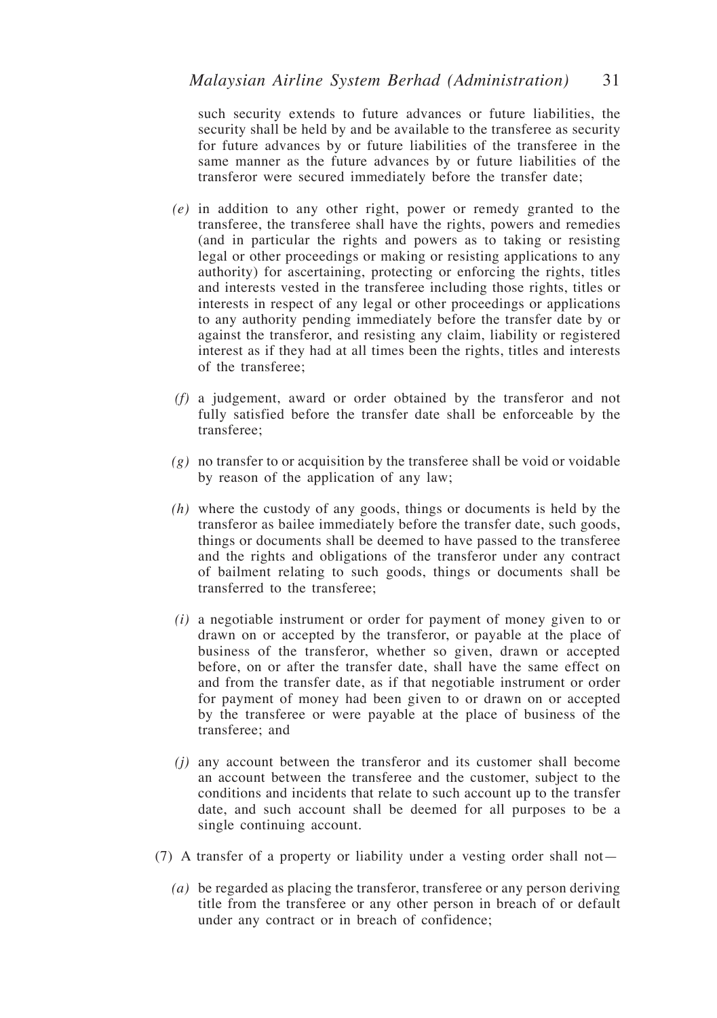such security extends to future advances or future liabilities, the security shall be held by and be available to the transferee as security for future advances by or future liabilities of the transferee in the same manner as the future advances by or future liabilities of the transferor were secured immediately before the transfer date;

- *(e)* in addition to any other right, power or remedy granted to the transferee, the transferee shall have the rights, powers and remedies (and in particular the rights and powers as to taking or resisting legal or other proceedings or making or resisting applications to any authority) for ascertaining, protecting or enforcing the rights, titles and interests vested in the transferee including those rights, titles or interests in respect of any legal or other proceedings or applications to any authority pending immediately before the transfer date by or against the transferor, and resisting any claim, liability or registered interest as if they had at all times been the rights, titles and interests of the transferee;
- *(f)* a judgement, award or order obtained by the transferor and not fully satisfied before the transfer date shall be enforceable by the transferee;
- *(g)* no transfer to or acquisition by the transferee shall be void or voidable by reason of the application of any law;
- *(h)* where the custody of any goods, things or documents is held by the transferor as bailee immediately before the transfer date, such goods, things or documents shall be deemed to have passed to the transferee and the rights and obligations of the transferor under any contract of bailment relating to such goods, things or documents shall be transferred to the transferee;
- *(i)* a negotiable instrument or order for payment of money given to or drawn on or accepted by the transferor, or payable at the place of business of the transferor, whether so given, drawn or accepted before, on or after the transfer date, shall have the same effect on and from the transfer date, as if that negotiable instrument or order for payment of money had been given to or drawn on or accepted by the transferee or were payable at the place of business of the transferee; and
- *(j)* any account between the transferor and its customer shall become an account between the transferee and the customer, subject to the conditions and incidents that relate to such account up to the transfer date, and such account shall be deemed for all purposes to be a single continuing account.
- (7) A transfer of a property or liability under a vesting order shall not—
	- *(a)* be regarded as placing the transferor, transferee or any person deriving title from the transferee or any other person in breach of or default under any contract or in breach of confidence;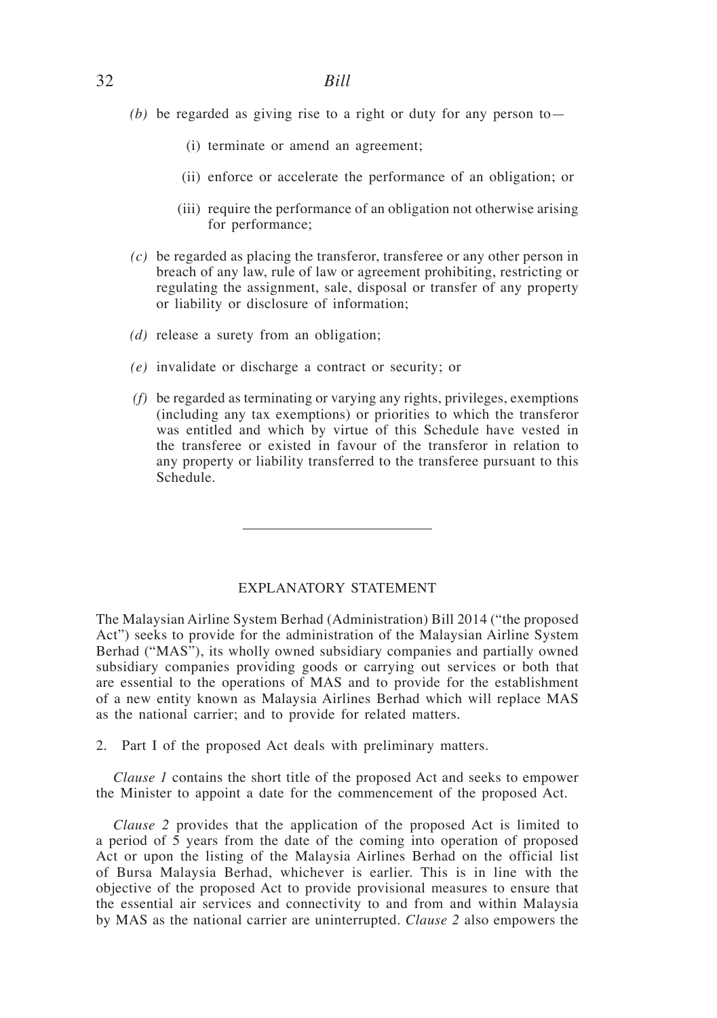- *(b)* be regarded as giving rise to a right or duty for any person to
	- (i) terminate or amend an agreement;
	- (ii) enforce or accelerate the performance of an obligation; or
	- (iii) require the performance of an obligation not otherwise arising for performance;
- *(c)* be regarded as placing the transferor, transferee or any other person in breach of any law, rule of law or agreement prohibiting, restricting or regulating the assignment, sale, disposal or transfer of any property or liability or disclosure of information;
- *(d)* release a surety from an obligation;
- *(e)* invalidate or discharge a contract or security; or
- *(f)* be regarded as terminating or varying any rights, privileges, exemptions (including any tax exemptions) or priorities to which the transferor was entitled and which by virtue of this Schedule have vested in the transferee or existed in favour of the transferor in relation to any property or liability transferred to the transferee pursuant to this Schedule.

#### EXPLANATORY STATEMENT

The Malaysian Airline System Berhad (Administration) Bill 2014 ("the proposed Act") seeks to provide for the administration of the Malaysian Airline System Berhad ("MAS"), its wholly owned subsidiary companies and partially owned subsidiary companies providing goods or carrying out services or both that are essential to the operations of MAS and to provide for the establishment of a new entity known as Malaysia Airlines Berhad which will replace MAS as the national carrier; and to provide for related matters.

2. Part I of the proposed Act deals with preliminary matters.

*Clause 1* contains the short title of the proposed Act and seeks to empower the Minister to appoint a date for the commencement of the proposed Act.

*Clause 2* provides that the application of the proposed Act is limited to a period of 5 years from the date of the coming into operation of proposed Act or upon the listing of the Malaysia Airlines Berhad on the official list of Bursa Malaysia Berhad, whichever is earlier. This is in line with the objective of the proposed Act to provide provisional measures to ensure that the essential air services and connectivity to and from and within Malaysia by MAS as the national carrier are uninterrupted. *Clause 2* also empowers the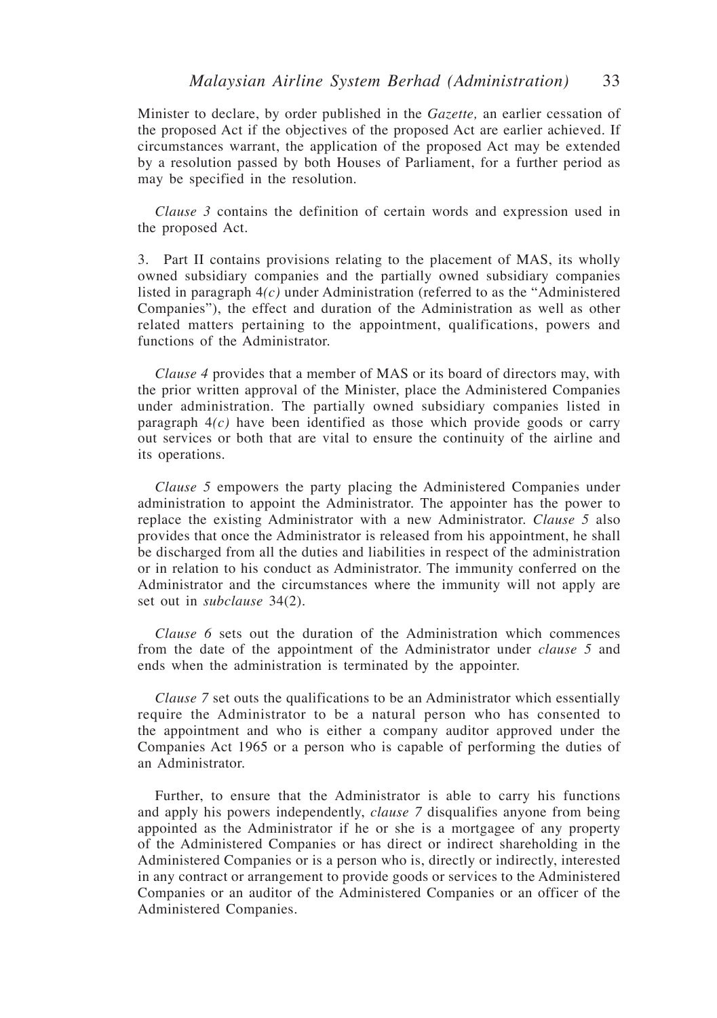Minister to declare, by order published in the *Gazette,* an earlier cessation of the proposed Act if the objectives of the proposed Act are earlier achieved. If circumstances warrant, the application of the proposed Act may be extended by a resolution passed by both Houses of Parliament, for a further period as may be specified in the resolution.

*Clause 3* contains the definition of certain words and expression used in the proposed Act.

3. Part II contains provisions relating to the placement of MAS, its wholly owned subsidiary companies and the partially owned subsidiary companies listed in paragraph 4*(c)* under Administration (referred to as the "Administered Companies"), the effect and duration of the Administration as well as other related matters pertaining to the appointment, qualifications, powers and functions of the Administrator.

*Clause 4* provides that a member of MAS or its board of directors may, with the prior written approval of the Minister, place the Administered Companies under administration. The partially owned subsidiary companies listed in paragraph 4*(c)* have been identified as those which provide goods or carry out services or both that are vital to ensure the continuity of the airline and its operations.

*Clause 5* empowers the party placing the Administered Companies under administration to appoint the Administrator. The appointer has the power to replace the existing Administrator with a new Administrator. *Clause 5* also provides that once the Administrator is released from his appointment, he shall be discharged from all the duties and liabilities in respect of the administration or in relation to his conduct as Administrator. The immunity conferred on the Administrator and the circumstances where the immunity will not apply are set out in *subclause* 34(2).

*Clause 6* sets out the duration of the Administration which commences from the date of the appointment of the Administrator under *clause 5* and ends when the administration is terminated by the appointer.

*Clause 7* set outs the qualifications to be an Administrator which essentially require the Administrator to be a natural person who has consented to the appointment and who is either a company auditor approved under the Companies Act 1965 or a person who is capable of performing the duties of an Administrator.

Further, to ensure that the Administrator is able to carry his functions and apply his powers independently, *clause 7* disqualifies anyone from being appointed as the Administrator if he or she is a mortgagee of any property of the Administered Companies or has direct or indirect shareholding in the Administered Companies or is a person who is, directly or indirectly, interested in any contract or arrangement to provide goods or services to the Administered Companies or an auditor of the Administered Companies or an officer of the Administered Companies.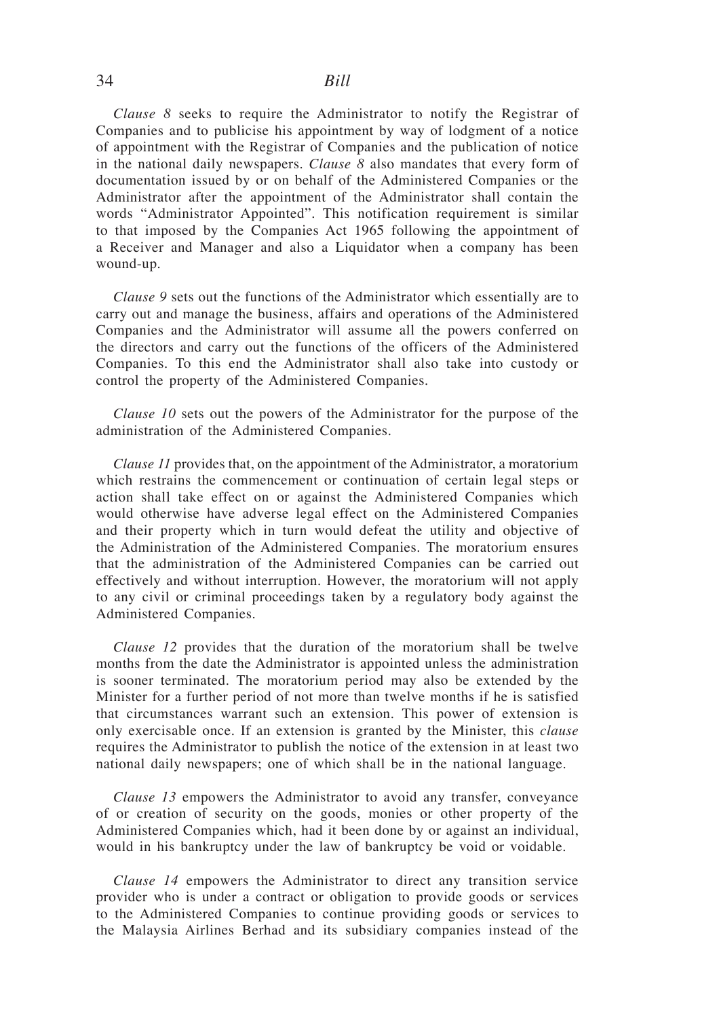### 34 *Bill*

*Clause 8* seeks to require the Administrator to notify the Registrar of Companies and to publicise his appointment by way of lodgment of a notice of appointment with the Registrar of Companies and the publication of notice in the national daily newspapers. *Clause 8* also mandates that every form of documentation issued by or on behalf of the Administered Companies or the Administrator after the appointment of the Administrator shall contain the words "Administrator Appointed". This notification requirement is similar to that imposed by the Companies Act 1965 following the appointment of a Receiver and Manager and also a Liquidator when a company has been wound-up.

*Clause 9* sets out the functions of the Administrator which essentially are to carry out and manage the business, affairs and operations of the Administered Companies and the Administrator will assume all the powers conferred on the directors and carry out the functions of the officers of the Administered Companies. To this end the Administrator shall also take into custody or control the property of the Administered Companies.

*Clause 10* sets out the powers of the Administrator for the purpose of the administration of the Administered Companies.

*Clause 11* provides that, on the appointment of the Administrator, a moratorium which restrains the commencement or continuation of certain legal steps or action shall take effect on or against the Administered Companies which would otherwise have adverse legal effect on the Administered Companies and their property which in turn would defeat the utility and objective of the Administration of the Administered Companies. The moratorium ensures that the administration of the Administered Companies can be carried out effectively and without interruption. However, the moratorium will not apply to any civil or criminal proceedings taken by a regulatory body against the Administered Companies.

*Clause 12* provides that the duration of the moratorium shall be twelve months from the date the Administrator is appointed unless the administration is sooner terminated. The moratorium period may also be extended by the Minister for a further period of not more than twelve months if he is satisfied that circumstances warrant such an extension. This power of extension is only exercisable once. If an extension is granted by the Minister, this *clause* requires the Administrator to publish the notice of the extension in at least two national daily newspapers; one of which shall be in the national language.

*Clause 13* empowers the Administrator to avoid any transfer, conveyance of or creation of security on the goods, monies or other property of the Administered Companies which, had it been done by or against an individual, would in his bankruptcy under the law of bankruptcy be void or voidable.

*Clause 14* empowers the Administrator to direct any transition service provider who is under a contract or obligation to provide goods or services to the Administered Companies to continue providing goods or services to the Malaysia Airlines Berhad and its subsidiary companies instead of the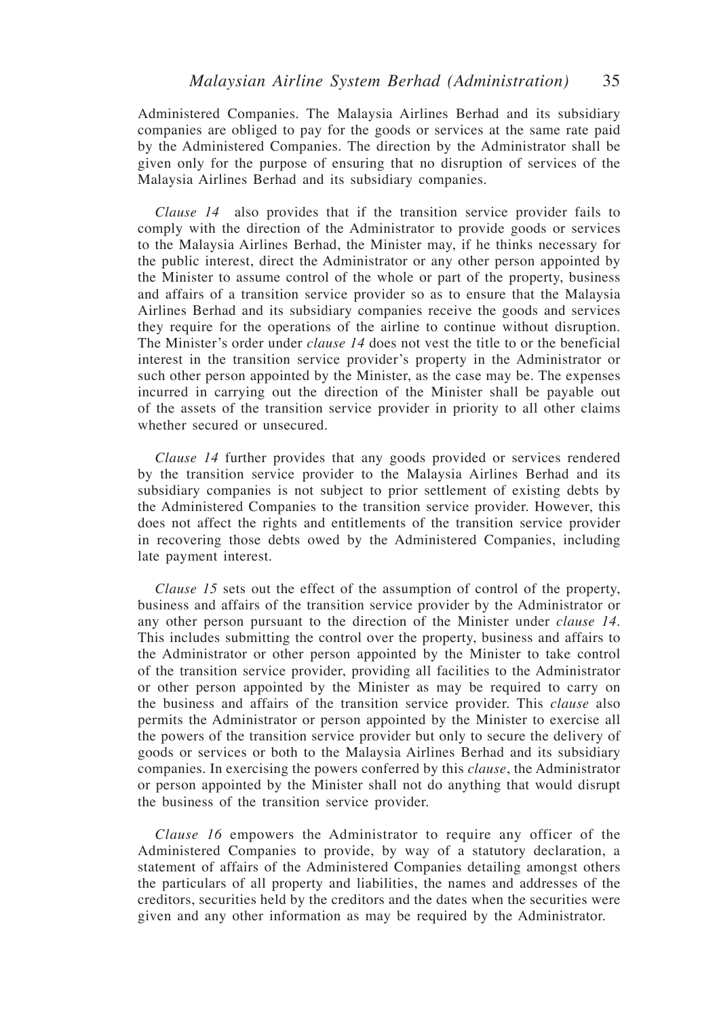Administered Companies. The Malaysia Airlines Berhad and its subsidiary companies are obliged to pay for the goods or services at the same rate paid by the Administered Companies. The direction by the Administrator shall be given only for the purpose of ensuring that no disruption of services of the Malaysia Airlines Berhad and its subsidiary companies.

*Clause 14* also provides that if the transition service provider fails to comply with the direction of the Administrator to provide goods or services to the Malaysia Airlines Berhad, the Minister may, if he thinks necessary for the public interest, direct the Administrator or any other person appointed by the Minister to assume control of the whole or part of the property, business and affairs of a transition service provider so as to ensure that the Malaysia Airlines Berhad and its subsidiary companies receive the goods and services they require for the operations of the airline to continue without disruption. The Minister's order under *clause 14* does not vest the title to or the beneficial interest in the transition service provider's property in the Administrator or such other person appointed by the Minister, as the case may be. The expenses incurred in carrying out the direction of the Minister shall be payable out of the assets of the transition service provider in priority to all other claims whether secured or unsecured.

*Clause 14* further provides that any goods provided or services rendered by the transition service provider to the Malaysia Airlines Berhad and its subsidiary companies is not subject to prior settlement of existing debts by the Administered Companies to the transition service provider. However, this does not affect the rights and entitlements of the transition service provider in recovering those debts owed by the Administered Companies, including late payment interest.

*Clause 15* sets out the effect of the assumption of control of the property, business and affairs of the transition service provider by the Administrator or any other person pursuant to the direction of the Minister under *clause 14*. This includes submitting the control over the property, business and affairs to the Administrator or other person appointed by the Minister to take control of the transition service provider, providing all facilities to the Administrator or other person appointed by the Minister as may be required to carry on the business and affairs of the transition service provider. This *clause* also permits the Administrator or person appointed by the Minister to exercise all the powers of the transition service provider but only to secure the delivery of goods or services or both to the Malaysia Airlines Berhad and its subsidiary companies. In exercising the powers conferred by this *clause*, the Administrator or person appointed by the Minister shall not do anything that would disrupt the business of the transition service provider.

*Clause 16* empowers the Administrator to require any officer of the Administered Companies to provide, by way of a statutory declaration, a statement of affairs of the Administered Companies detailing amongst others the particulars of all property and liabilities, the names and addresses of the creditors, securities held by the creditors and the dates when the securities were given and any other information as may be required by the Administrator.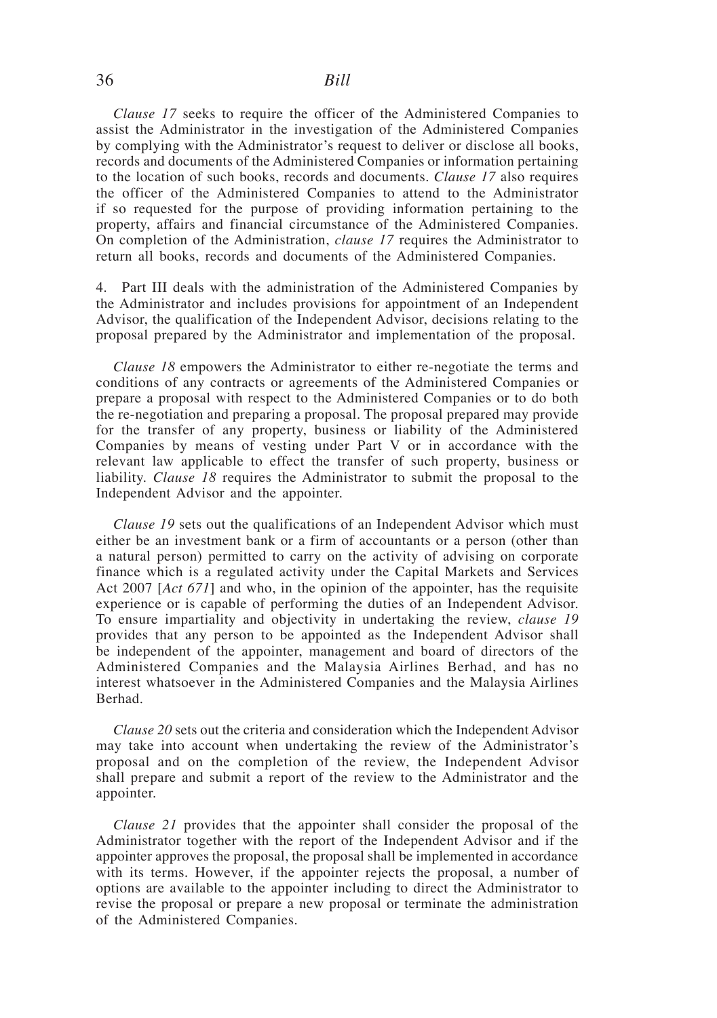### 36 *Bill*

*Clause 17* seeks to require the officer of the Administered Companies to assist the Administrator in the investigation of the Administered Companies by complying with the Administrator's request to deliver or disclose all books, records and documents of the Administered Companies or information pertaining to the location of such books, records and documents. *Clause 17* also requires the officer of the Administered Companies to attend to the Administrator if so requested for the purpose of providing information pertaining to the property, affairs and financial circumstance of the Administered Companies. On completion of the Administration, *clause 17* requires the Administrator to return all books, records and documents of the Administered Companies.

4. Part III deals with the administration of the Administered Companies by the Administrator and includes provisions for appointment of an Independent Advisor, the qualification of the Independent Advisor, decisions relating to the proposal prepared by the Administrator and implementation of the proposal.

*Clause 18* empowers the Administrator to either re-negotiate the terms and conditions of any contracts or agreements of the Administered Companies or prepare a proposal with respect to the Administered Companies or to do both the re-negotiation and preparing a proposal. The proposal prepared may provide for the transfer of any property, business or liability of the Administered Companies by means of vesting under Part V or in accordance with the relevant law applicable to effect the transfer of such property, business or liability. *Clause 18* requires the Administrator to submit the proposal to the Independent Advisor and the appointer.

*Clause 19* sets out the qualifications of an Independent Advisor which must either be an investment bank or a firm of accountants or a person (other than a natural person) permitted to carry on the activity of advising on corporate finance which is a regulated activity under the Capital Markets and Services Act 2007 [*Act 671*] and who, in the opinion of the appointer, has the requisite experience or is capable of performing the duties of an Independent Advisor. To ensure impartiality and objectivity in undertaking the review, *clause 19* provides that any person to be appointed as the Independent Advisor shall be independent of the appointer, management and board of directors of the Administered Companies and the Malaysia Airlines Berhad, and has no interest whatsoever in the Administered Companies and the Malaysia Airlines Berhad.

*Clause 20* sets out the criteria and consideration which the Independent Advisor may take into account when undertaking the review of the Administrator's proposal and on the completion of the review, the Independent Advisor shall prepare and submit a report of the review to the Administrator and the appointer.

*Clause 21* provides that the appointer shall consider the proposal of the Administrator together with the report of the Independent Advisor and if the appointer approves the proposal, the proposal shall be implemented in accordance with its terms. However, if the appointer rejects the proposal, a number of options are available to the appointer including to direct the Administrator to revise the proposal or prepare a new proposal or terminate the administration of the Administered Companies.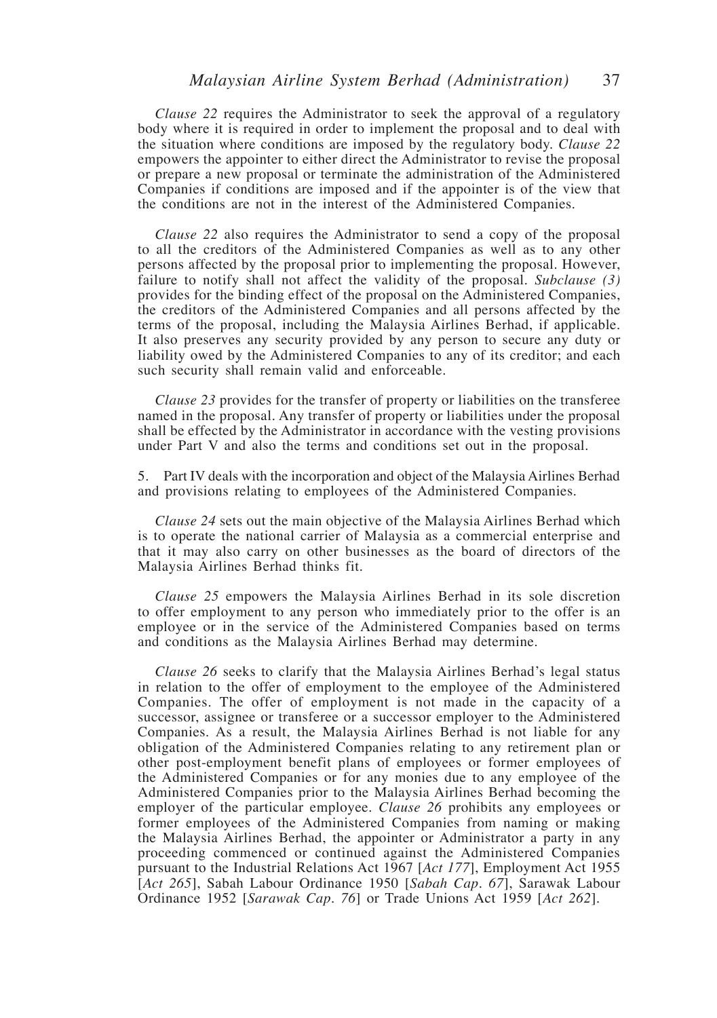*Clause 22* requires the Administrator to seek the approval of a regulatory body where it is required in order to implement the proposal and to deal with the situation where conditions are imposed by the regulatory body. *Clause 22* empowers the appointer to either direct the Administrator to revise the proposal or prepare a new proposal or terminate the administration of the Administered Companies if conditions are imposed and if the appointer is of the view that the conditions are not in the interest of the Administered Companies.

*Clause 22* also requires the Administrator to send a copy of the proposal to all the creditors of the Administered Companies as well as to any other persons affected by the proposal prior to implementing the proposal. However, failure to notify shall not affect the validity of the proposal. *Subclause (3)* provides for the binding effect of the proposal on the Administered Companies, the creditors of the Administered Companies and all persons affected by the terms of the proposal, including the Malaysia Airlines Berhad, if applicable. It also preserves any security provided by any person to secure any duty or liability owed by the Administered Companies to any of its creditor; and each such security shall remain valid and enforceable.

*Clause 23* provides for the transfer of property or liabilities on the transferee named in the proposal. Any transfer of property or liabilities under the proposal shall be effected by the Administrator in accordance with the vesting provisions under Part V and also the terms and conditions set out in the proposal.

5. Part IV deals with the incorporation and object of the Malaysia Airlines Berhad and provisions relating to employees of the Administered Companies.

*Clause 24* sets out the main objective of the Malaysia Airlines Berhad which is to operate the national carrier of Malaysia as a commercial enterprise and that it may also carry on other businesses as the board of directors of the Malaysia Airlines Berhad thinks fit.

*Clause 25* empowers the Malaysia Airlines Berhad in its sole discretion to offer employment to any person who immediately prior to the offer is an employee or in the service of the Administered Companies based on terms and conditions as the Malaysia Airlines Berhad may determine.

*Clause 26* seeks to clarify that the Malaysia Airlines Berhad's legal status in relation to the offer of employment to the employee of the Administered Companies. The offer of employment is not made in the capacity of a successor, assignee or transferee or a successor employer to the Administered Companies. As a result, the Malaysia Airlines Berhad is not liable for any obligation of the Administered Companies relating to any retirement plan or other post-employment benefit plans of employees or former employees of the Administered Companies or for any monies due to any employee of the Administered Companies prior to the Malaysia Airlines Berhad becoming the employer of the particular employee. *Clause 26* prohibits any employees or former employees of the Administered Companies from naming or making the Malaysia Airlines Berhad, the appointer or Administrator a party in any proceeding commenced or continued against the Administered Companies pursuant to the Industrial Relations Act 1967 [*Act 177*], Employment Act 1955 [*Act 265*], Sabah Labour Ordinance 1950 [*Sabah Cap. 67*], Sarawak Labour Ordinance 1952 [*Sarawak Cap. 76*] or Trade Unions Act 1959 [*Act 262*].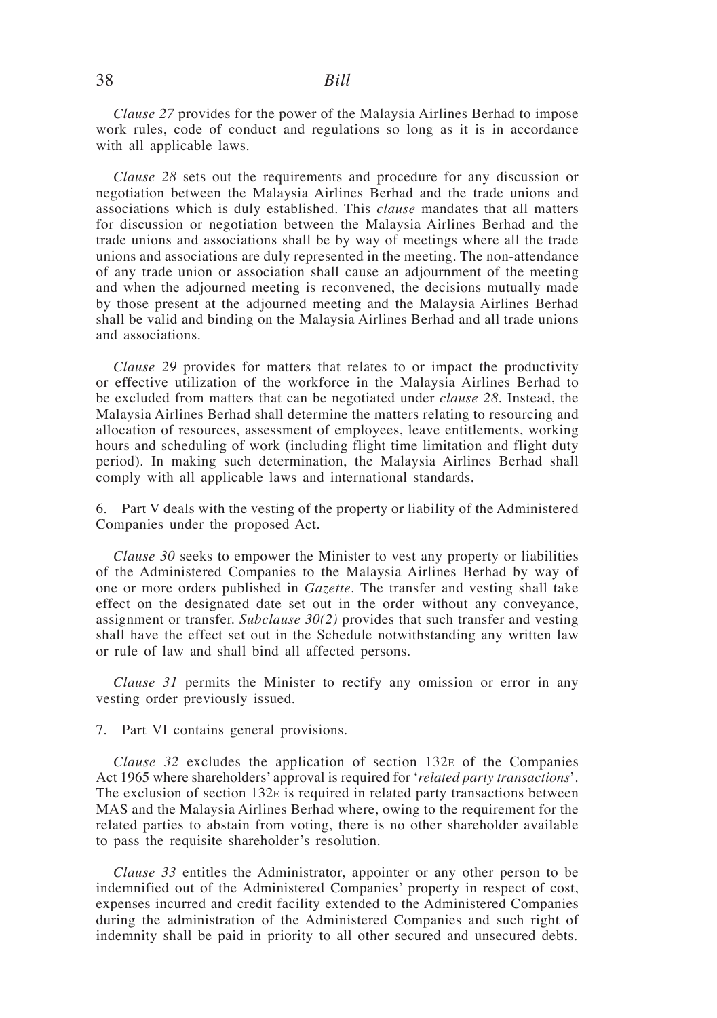### 38 *Bill*

*Clause 27* provides for the power of the Malaysia Airlines Berhad to impose work rules, code of conduct and regulations so long as it is in accordance with all applicable laws.

*Clause 28* sets out the requirements and procedure for any discussion or negotiation between the Malaysia Airlines Berhad and the trade unions and associations which is duly established. This *clause* mandates that all matters for discussion or negotiation between the Malaysia Airlines Berhad and the trade unions and associations shall be by way of meetings where all the trade unions and associations are duly represented in the meeting. The non-attendance of any trade union or association shall cause an adjournment of the meeting and when the adjourned meeting is reconvened, the decisions mutually made by those present at the adjourned meeting and the Malaysia Airlines Berhad shall be valid and binding on the Malaysia Airlines Berhad and all trade unions and associations.

*Clause 29* provides for matters that relates to or impact the productivity or effective utilization of the workforce in the Malaysia Airlines Berhad to be excluded from matters that can be negotiated under *clause 28*. Instead, the Malaysia Airlines Berhad shall determine the matters relating to resourcing and allocation of resources, assessment of employees, leave entitlements, working hours and scheduling of work (including flight time limitation and flight duty period). In making such determination, the Malaysia Airlines Berhad shall comply with all applicable laws and international standards.

6. Part V deals with the vesting of the property or liability of the Administered Companies under the proposed Act.

*Clause 30* seeks to empower the Minister to vest any property or liabilities of the Administered Companies to the Malaysia Airlines Berhad by way of one or more orders published in *Gazette*. The transfer and vesting shall take effect on the designated date set out in the order without any conveyance, assignment or transfer. *Subclause 30(2)* provides that such transfer and vesting shall have the effect set out in the Schedule notwithstanding any written law or rule of law and shall bind all affected persons.

*Clause 31* permits the Minister to rectify any omission or error in any vesting order previously issued.

7. Part VI contains general provisions.

*Clause 32* excludes the application of section 132e of the Companies Act 1965 where shareholders' approval is required for '*related party transactions*'. The exclusion of section  $132E$  is required in related party transactions between MAS and the Malaysia Airlines Berhad where, owing to the requirement for the related parties to abstain from voting, there is no other shareholder available to pass the requisite shareholder's resolution.

*Clause 33* entitles the Administrator, appointer or any other person to be indemnified out of the Administered Companies' property in respect of cost, expenses incurred and credit facility extended to the Administered Companies during the administration of the Administered Companies and such right of indemnity shall be paid in priority to all other secured and unsecured debts.